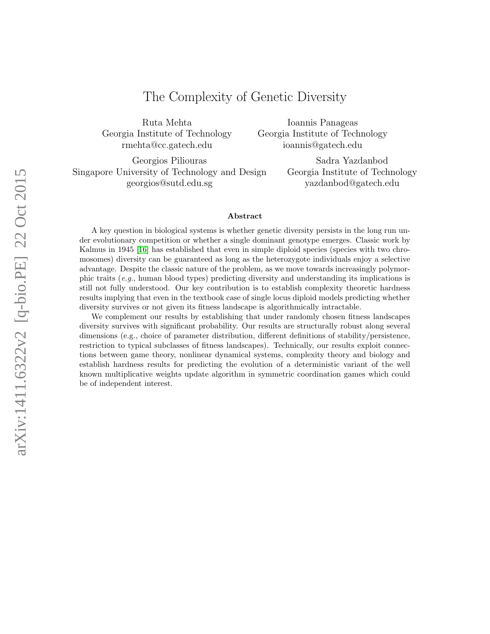# The Complexity of Genetic Diversity

Ruta Mehta Georgia Institute of Technology rmehta@cc.gatech.edu

Ioannis Panageas Georgia Institute of Technology ioannis@gatech.edu

Georgios Piliouras Singapore University of Technology and Design georgios@sutd.edu.sg

Sadra Yazdanbod Georgia Institute of Technology yazdanbod@gatech.edu

#### Abstract

A key question in biological systems is whether genetic diversity persists in the long run under evolutionary competition or whether a single dominant genotype emerges. Classic work by Kalmus in 1945 [\[16\]](#page-11-0) has established that even in simple diploid species (species with two chromosomes) diversity can be guaranteed as long as the heterozygote individuals enjoy a selective advantage. Despite the classic nature of the problem, as we move towards increasingly polymorphic traits (e.g., human blood types) predicting diversity and understanding its implications is still not fully understood. Our key contribution is to establish complexity theoretic hardness results implying that even in the textbook case of single locus diploid models predicting whether diversity survives or not given its fitness landscape is algorithmically intractable.

We complement our results by establishing that under randomly chosen fitness landscapes diversity survives with significant probability. Our results are structurally robust along several dimensions (e.g., choice of parameter distribution, different definitions of stability/persistence, restriction to typical subclasses of fitness landscapes). Technically, our results exploit connections between game theory, nonlinear dynamical systems, complexity theory and biology and establish hardness results for predicting the evolution of a deterministic variant of the well known multiplicative weights update algorithm in symmetric coordination games which could be of independent interest.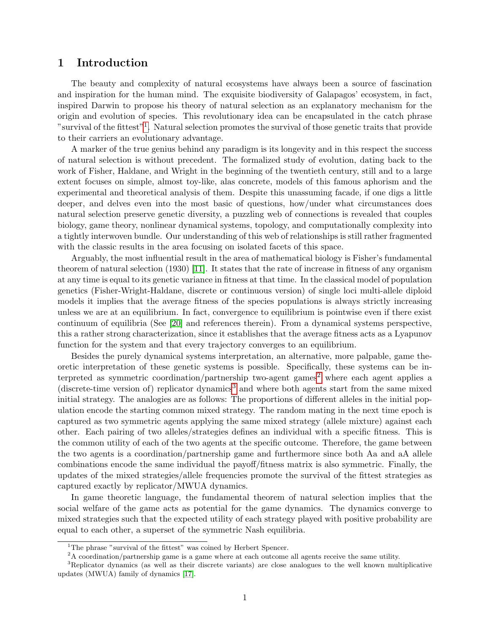# 1 Introduction

The beauty and complexity of natural ecosystems have always been a source of fascination and inspiration for the human mind. The exquisite biodiversity of Galapagos' ecosystem, in fact, inspired Darwin to propose his theory of natural selection as an explanatory mechanism for the origin and evolution of species. This revolutionary idea can be encapsulated in the catch phrase "survival of the fittest"<sup>[1](#page-1-0)</sup>. Natural selection promotes the survival of those genetic traits that provide to their carriers an evolutionary advantage.

A marker of the true genius behind any paradigm is its longevity and in this respect the success of natural selection is without precedent. The formalized study of evolution, dating back to the work of Fisher, Haldane, and Wright in the beginning of the twentieth century, still and to a large extent focuses on simple, almost toy-like, alas concrete, models of this famous aphorism and the experimental and theoretical analysis of them. Despite this unassuming facade, if one digs a little deeper, and delves even into the most basic of questions, how/under what circumstances does natural selection preserve genetic diversity, a puzzling web of connections is revealed that couples biology, game theory, nonlinear dynamical systems, topology, and computationally complexity into a tightly interwoven bundle. Our understanding of this web of relationships is still rather fragmented with the classic results in the area focusing on isolated facets of this space.

Arguably, the most influential result in the area of mathematical biology is Fisher's fundamental theorem of natural selection (1930) [\[11\]](#page-11-1). It states that the rate of increase in fitness of any organism at any time is equal to its genetic variance in fitness at that time. In the classical model of population genetics (Fisher-Wright-Haldane, discrete or continuous version) of single loci multi-allele diploid models it implies that the average fitness of the species populations is always strictly increasing unless we are at an equilibrium. In fact, convergence to equilibrium is pointwise even if there exist continuum of equilibria (See [\[20\]](#page-12-0) and references therein). From a dynamical systems perspective, this a rather strong characterization, since it establishes that the average fitness acts as a Lyapunov function for the system and that every trajectory converges to an equilibrium.

Besides the purely dynamical systems interpretation, an alternative, more palpable, game theoretic interpretation of these genetic systems is possible. Specifically, these systems can be in-terpreted as symmetric coordination/partnership two-agent games<sup>[2](#page-1-1)</sup> where each agent applies a  $(discrete-time version of) replicator dynamics<sup>3</sup> and where both agents start from the same mixed$  $(discrete-time version of) replicator dynamics<sup>3</sup> and where both agents start from the same mixed$  $(discrete-time version of) replicator dynamics<sup>3</sup> and where both agents start from the same mixed$ initial strategy. The analogies are as follows: The proportions of different alleles in the initial population encode the starting common mixed strategy. The random mating in the next time epoch is captured as two symmetric agents applying the same mixed strategy (allele mixture) against each other. Each pairing of two alleles/strategies defines an individual with a specific fitness. This is the common utility of each of the two agents at the specific outcome. Therefore, the game between the two agents is a coordination/partnership game and furthermore since both Aa and aA allele combinations encode the same individual the payoff/fitness matrix is also symmetric. Finally, the updates of the mixed strategies/allele frequencies promote the survival of the fittest strategies as captured exactly by replicator/MWUA dynamics.

In game theoretic language, the fundamental theorem of natural selection implies that the social welfare of the game acts as potential for the game dynamics. The dynamics converge to mixed strategies such that the expected utility of each strategy played with positive probability are equal to each other, a superset of the symmetric Nash equilibria.

<span id="page-1-1"></span><span id="page-1-0"></span><sup>&</sup>lt;sup>1</sup>The phrase "survival of the fittest" was coined by Herbert Spencer.

<span id="page-1-2"></span><sup>&</sup>lt;sup>2</sup>A coordination/partnership game is a game where at each outcome all agents receive the same utility.

<sup>3</sup>Replicator dynamics (as well as their discrete variants) are close analogues to the well known multiplicative updates (MWUA) family of dynamics [\[17\]](#page-11-2).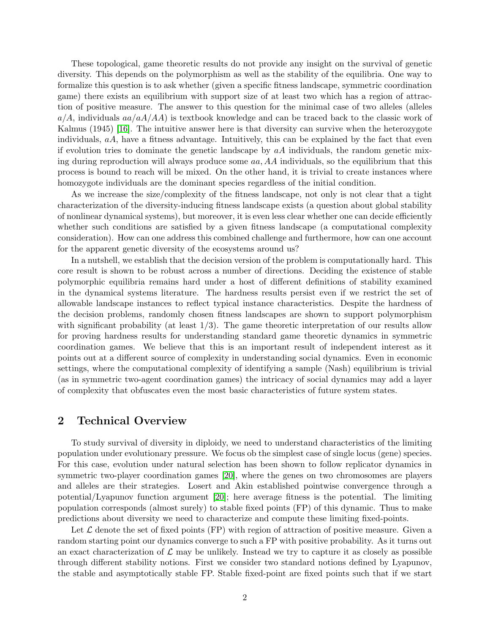These topological, game theoretic results do not provide any insight on the survival of genetic diversity. This depends on the polymorphism as well as the stability of the equilibria. One way to formalize this question is to ask whether (given a specific fitness landscape, symmetric coordination game) there exists an equilibrium with support size of at least two which has a region of attraction of positive measure. The answer to this question for the minimal case of two alleles (alleles  $a/A$ , individuals  $aa/aA/AA$ ) is textbook knowledge and can be traced back to the classic work of Kalmus (1945) [\[16\]](#page-11-0). The intuitive answer here is that diversity can survive when the heterozygote individuals,  $aA$ , have a fitness advantage. Intuitively, this can be explained by the fact that even if evolution tries to dominate the genetic landscape by  $a\ddot{A}$  individuals, the random genetic mixing during reproduction will always produce some  $aa, AA$  individuals, so the equilibrium that this process is bound to reach will be mixed. On the other hand, it is trivial to create instances where homozygote individuals are the dominant species regardless of the initial condition.

As we increase the size/complexity of the fitness landscape, not only is not clear that a tight characterization of the diversity-inducing fitness landscape exists (a question about global stability of nonlinear dynamical systems), but moreover, it is even less clear whether one can decide efficiently whether such conditions are satisfied by a given fitness landscape (a computational complexity consideration). How can one address this combined challenge and furthermore, how can one account for the apparent genetic diversity of the ecosystems around us?

In a nutshell, we establish that the decision version of the problem is computationally hard. This core result is shown to be robust across a number of directions. Deciding the existence of stable polymorphic equilibria remains hard under a host of different definitions of stability examined in the dynamical systems literature. The hardness results persist even if we restrict the set of allowable landscape instances to reflect typical instance characteristics. Despite the hardness of the decision problems, randomly chosen fitness landscapes are shown to support polymorphism with significant probability (at least  $1/3$ ). The game theoretic interpretation of our results allow for proving hardness results for understanding standard game theoretic dynamics in symmetric coordination games. We believe that this is an important result of independent interest as it points out at a different source of complexity in understanding social dynamics. Even in economic settings, where the computational complexity of identifying a sample (Nash) equilibrium is trivial (as in symmetric two-agent coordination games) the intricacy of social dynamics may add a layer of complexity that obfuscates even the most basic characteristics of future system states.

## 2 Technical Overview

To study survival of diversity in diploidy, we need to understand characteristics of the limiting population under evolutionary pressure. We focus ob the simplest case of single locus (gene) species. For this case, evolution under natural selection has been shown to follow replicator dynamics in symmetric two-player coordination games [\[20\]](#page-12-0), where the genes on two chromosomes are players and alleles are their strategies. Losert and Akin established pointwise convergence through a potential/Lyapunov function argument [\[20\]](#page-12-0); here average fitness is the potential. The limiting population corresponds (almost surely) to stable fixed points (FP) of this dynamic. Thus to make predictions about diversity we need to characterize and compute these limiting fixed-points.

Let  $\mathcal L$  denote the set of fixed points (FP) with region of attraction of positive measure. Given a random starting point our dynamics converge to such a FP with positive probability. As it turns out an exact characterization of  $\mathcal L$  may be unlikely. Instead we try to capture it as closely as possible through different stability notions. First we consider two standard notions defined by Lyapunov, the stable and asymptotically stable FP. Stable fixed-point are fixed points such that if we start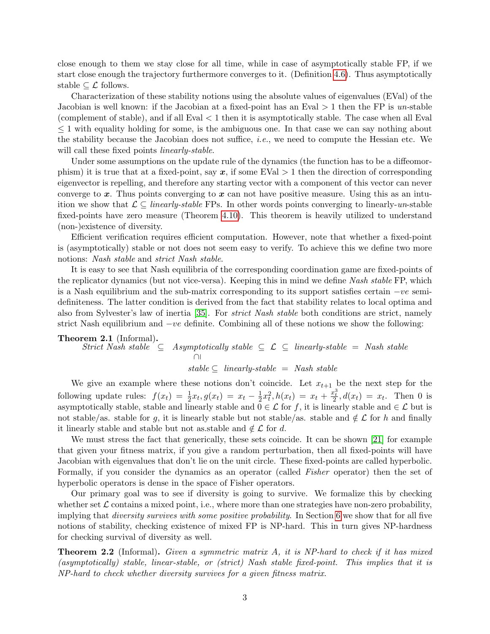close enough to them we stay close for all time, while in case of asymptotically stable FP, if we start close enough the trajectory furthermore converges to it. (Definition [4.6\)](#page-6-0). Thus asymptotically stable  $\subseteq \mathcal{L}$  follows.

Characterization of these stability notions using the absolute values of eigenvalues (EVal) of the Jacobian is well known: if the Jacobian at a fixed-point has an Eval  $> 1$  then the FP is un-stable (complement of stable), and if all  $Eval < 1$  then it is asymptotically stable. The case when all Eval ≤ 1 with equality holding for some, is the ambiguous one. In that case we can say nothing about the stability because the Jacobian does not suffice, *i.e.*, we need to compute the Hessian etc. We will call these fixed points *linearly-stable*.

Under some assumptions on the update rule of the dynamics (the function has to be a diffeomorphism) it is true that at a fixed-point, say  $x$ , if some EVal  $> 1$  then the direction of corresponding eigenvector is repelling, and therefore any starting vector with a component of this vector can never converge to  $x$ . Thus points converging to  $x$  can not have positive measure. Using this as an intuition we show that  $\mathcal{L} \subseteq linearly-stable$  FPs. In other words points converging to linearly-un-stable fixed-points have zero measure (Theorem [4.10\)](#page-7-0). This theorem is heavily utilized to understand (non-)existence of diversity.

Efficient verification requires efficient computation. However, note that whether a fixed-point is (asymptotically) stable or not does not seem easy to verify. To achieve this we define two more notions: Nash stable and strict Nash stable.

It is easy to see that Nash equilibria of the corresponding coordination game are fixed-points of the replicator dynamics (but not vice-versa). Keeping this in mind we define Nash stable FP, which is a Nash equilibrium and the sub-matrix corresponding to its support satisfies certain  $-ve$  semidefiniteness. The latter condition is derived from the fact that stability relates to local optima and also from Sylvester's law of inertia [\[35\]](#page-12-1). For strict Nash stable both conditions are strict, namely strict Nash equilibrium and  $-ve$  definite. Combining all of these notions we show the following:

Theorem 2.1 (Informal).

$$
\begin{array}{rcl}\n\text{Strict Nash stable} & \subseteq & Asymptotically stable \subseteq & \mathcal{L} \subseteq & linearly-stable = \text{Nash stable} \\
\text{and} & \text{stable} \subseteq & linearly-stable = \text{Nash stable} \\
\text{stable} & \subseteq & linearly-stable = \text{Nash stable}\n\end{array}
$$

We give an example where these notions don't coincide. Let  $x_{t+1}$  be the next step for the following update rules:  $f(x_t) = \frac{1}{2}x_t, g(x_t) = x_t - \frac{1}{2}$  $\frac{1}{2}x_t^2$ ,  $h(x_t) = x_t + \frac{x_t^3}{2}$ ,  $d(x_t) = x_t$ . Then 0 is asymptotically stable, stable and linearly stable and  $0 \in \mathcal{L}$  for f, it is linearly stable and  $\in \mathcal{L}$  but is not stable/as. stable for g, it is linearly stable but not stable/as. stable and  $\notin \mathcal{L}$  for h and finally it linearly stable and stable but not as stable and  $\notin \mathcal{L}$  for d.

We must stress the fact that generically, these sets coincide. It can be shown [\[21\]](#page-12-2) for example that given your fitness matrix, if you give a random perturbation, then all fixed-points will have Jacobian with eigenvalues that don't lie on the unit circle. These fixed-points are called hyperbolic. Formally, if you consider the dynamics as an operator (called Fisher operator) then the set of hyperbolic operators is dense in the space of Fisher operators.

Our primary goal was to see if diversity is going to survive. We formalize this by checking whether set  $\mathcal L$  contains a mixed point, i.e., where more than one strategies have non-zero probability, implying that diversity survives with some positive probability. In Section [6](#page-8-0) we show that for all five notions of stability, checking existence of mixed FP is NP-hard. This in turn gives NP-hardness for checking survival of diversity as well.

Theorem 2.2 (Informal). Given a symmetric matrix A, it is NP-hard to check if it has mixed (asymptotically) stable, linear-stable, or (strict) Nash stable fixed-point. This implies that it is NP-hard to check whether diversity survives for a given fitness matrix.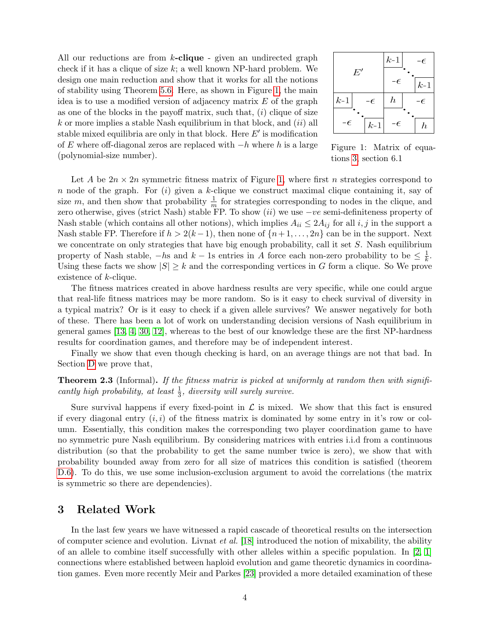<span id="page-4-0"></span>All our reductions are from  $k$ -clique - given an undirected graph check if it has a clique of size  $k$ ; a well known NP-hard problem. We design one main reduction and show that it works for all the notions of stability using Theorem [5.6.](#page-8-1) Here, as shown in Figure [1,](#page-4-0) the main idea is to use a modified version of adjacency matrix  $E$  of the graph as one of the blocks in the payoff matrix, such that,  $(i)$  clique of size  $k$  or more implies a stable Nash equilibrium in that block, and  $(ii)$  all stable mixed equilibria are only in that block. Here  $E'$  is modification of E where off-diagonal zeros are replaced with  $-h$  where h is a large (polynomial-size number).

|             | $k-1$<br>- $\epsilon$ |
|-------------|-----------------------|
| $E^\prime$  | -6<br>$k-1$           |
| $k-1$       | $\hbar$               |
| $-\epsilon$ | -6                    |
| $-\epsilon$ | -6                    |
| $k-1$       | $\boldsymbol{h}$      |

Figure 1: Matrix of equations [3,](#page-9-0) section 6.1

Let A be  $2n \times 2n$  symmetric fitness matrix of Figure [1,](#page-4-0) where first n strategies correspond to n node of the graph. For  $(i)$  given a k-clique we construct maximal clique containing it, say of size m, and then show that probability  $\frac{1}{m}$  for strategies corresponding to nodes in the clique, and zero otherwise, gives (strict Nash) stable FP. To show (ii) we use  $-ve$  semi-definiteness property of Nash stable (which contains all other notions), which implies  $A_{ii} \leq 2A_{ij}$  for all  $i, j$  in the support a Nash stable FP. Therefore if  $h > 2(k-1)$ , then none of  $\{n+1, \ldots, 2n\}$  can be in the support. Next we concentrate on only strategies that have big enough probability, call it set S. Nash equilibrium property of Nash stable,  $-hs$  and  $k-1s$  entries in A force each non-zero probability to be  $\leq \frac{1}{k}$  $\frac{1}{k}$ . Using these facts we show  $|S| \geq k$  and the corresponding vertices in G form a clique. So We prove existence of k-clique.

The fitness matrices created in above hardness results are very specific, while one could argue that real-life fitness matrices may be more random. So is it easy to check survival of diversity in a typical matrix? Or is it easy to check if a given allele survives? We answer negatively for both of these. There has been a lot of work on understanding decision versions of Nash equilibrium in general games [\[13,](#page-11-3) [4,](#page-11-4) [30,](#page-12-3) [12\]](#page-11-5), whereas to the best of our knowledge these are the first NP-hardness results for coordination games, and therefore may be of independent interest.

Finally we show that even though checking is hard, on an average things are not that bad. In Section [D](#page-20-0) we prove that,

**Theorem 2.3** (Informal). If the fitness matrix is picked at uniformly at random then with significantly high probability, at least  $\frac{1}{3}$ , diversity will surely survive.

Sure survival happens if every fixed-point in  $\mathcal L$  is mixed. We show that this fact is ensured if every diagonal entry  $(i, i)$  of the fitness matrix is dominated by some entry in it's row or column. Essentially, this condition makes the corresponding two player coordination game to have no symmetric pure Nash equilibrium. By considering matrices with entries i.i.d from a continuous distribution (so that the probability to get the same number twice is zero), we show that with probability bounded away from zero for all size of matrices this condition is satisfied (theorem [D.6\)](#page-21-0). To do this, we use some inclusion-exclusion argument to avoid the correlations (the matrix is symmetric so there are dependencies).

## 3 Related Work

In the last few years we have witnessed a rapid cascade of theoretical results on the intersection of computer science and evolution. Livnat et al. [\[18\]](#page-12-4) introduced the notion of mixability, the ability of an allele to combine itself successfully with other alleles within a specific population. In  $[2, 1]$  $[2, 1]$ connections where established between haploid evolution and game theoretic dynamics in coordination games. Even more recently Meir and Parkes [\[23\]](#page-12-5) provided a more detailed examination of these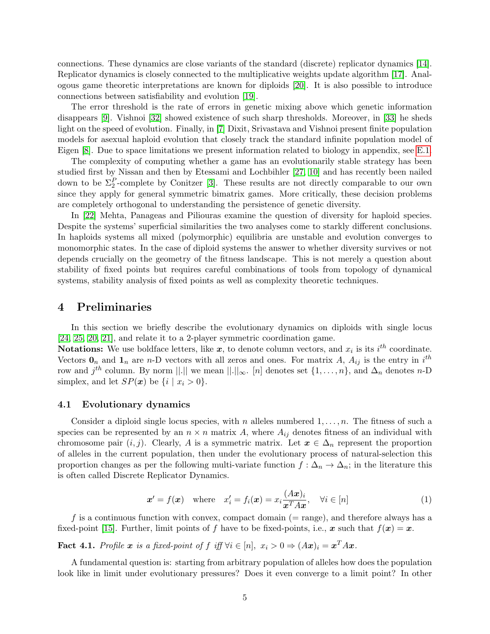connections. These dynamics are close variants of the standard (discrete) replicator dynamics [\[14\]](#page-11-8). Replicator dynamics is closely connected to the multiplicative weights update algorithm [\[17\]](#page-11-2). Analogous game theoretic interpretations are known for diploids [\[20\]](#page-12-0). It is also possible to introduce connections between satisfiability and evolution [\[19\]](#page-12-6).

The error threshold is the rate of errors in genetic mixing above which genetic information disappears [\[9\]](#page-11-9). Vishnoi [\[32\]](#page-12-7) showed existence of such sharp thresholds. Moreover, in [\[33\]](#page-12-8) he sheds light on the speed of evolution. Finally, in [\[7\]](#page-11-10) Dixit, Srivastava and Vishnoi present finite population models for asexual haploid evolution that closely track the standard infinite population model of Eigen [\[8\]](#page-11-11). Due to space limitations we present information related to biology in appendix, see [E.1.](#page-22-0)

The complexity of computing whether a game has an evolutionarily stable strategy has been studied first by Nissan and then by Etessami and Lochbihler [\[27,](#page-12-9) [10\]](#page-11-12) and has recently been nailed down to be  $\Sigma_2^P$ -complete by Conitzer [\[3\]](#page-11-13). These results are not directly comparable to our own since they apply for general symmetric bimatrix games. More critically, these decision problems are completely orthogonal to understanding the persistence of genetic diversity.

In [\[22\]](#page-12-10) Mehta, Panageas and Piliouras examine the question of diversity for haploid species. Despite the systems' superficial similarities the two analyses come to starkly different conclusions. In haploids systems all mixed (polymorphic) equilibria are unstable and evolution converges to monomorphic states. In the case of diploid systems the answer to whether diversity survives or not depends crucially on the geometry of the fitness landscape. This is not merely a question about stability of fixed points but requires careful combinations of tools from topology of dynamical systems, stability analysis of fixed points as well as complexity theoretic techniques.

## 4 Preliminaries

In this section we briefly describe the evolutionary dynamics on diploids with single locus [\[24,](#page-12-11) [25,](#page-12-12) [20,](#page-12-0) [21\]](#page-12-2), and relate it to a 2-player symmetric coordination game.

**Notations:** We use boldface letters, like  $x$ , to denote column vectors, and  $x_i$  is its  $i^{th}$  coordinate. Vectors  $\mathbf{0}_n$  and  $\mathbf{1}_n$  are n-D vectors with all zeros and ones. For matrix A,  $A_{ij}$  is the entry in  $i^{th}$ row and  $j^{th}$  column. By norm  $||.||$  we mean  $||.||_{\infty}$ . [n] denotes set  $\{1, \ldots, n\}$ , and  $\Delta_n$  denotes n-D simplex, and let  $SP(x)$  be  $\{i \mid x_i > 0\}.$ 

## 4.1 Evolutionary dynamics

Consider a diploid single locus species, with n alleles numbered  $1, \ldots, n$ . The fitness of such a species can be represented by an  $n \times n$  matrix A, where  $A_{ij}$  denotes fitness of an individual with chromosome pair  $(i, j)$ . Clearly, A is a symmetric matrix. Let  $\mathbf{x} \in \Delta_n$  represent the proportion of alleles in the current population, then under the evolutionary process of natural-selection this proportion changes as per the following multi-variate function  $f : \Delta_n \to \Delta_n$ ; in the literature this is often called Discrete Replicator Dynamics.

<span id="page-5-1"></span>
$$
\mathbf{x}' = f(\mathbf{x}) \quad \text{where} \quad x'_i = f_i(\mathbf{x}) = x_i \frac{(A\mathbf{x})_i}{\mathbf{x}^T A \mathbf{x}}, \quad \forall i \in [n] \tag{1}
$$

f is a continuous function with convex, compact domain  $(= \text{range})$ , and therefore always has a fixed-point [\[15\]](#page-11-14). Further, limit points of f have to be fixed-points, i.e., x such that  $f(x) = x$ .

<span id="page-5-0"></span>**Fact 4.1.** Profile  $x$  is a fixed-point of  $f$  iff  $\forall i \in [n]$ ,  $x_i > 0 \Rightarrow (Ax)_i = x^T Ax$ .

A fundamental question is: starting from arbitrary population of alleles how does the population look like in limit under evolutionary pressures? Does it even converge to a limit point? In other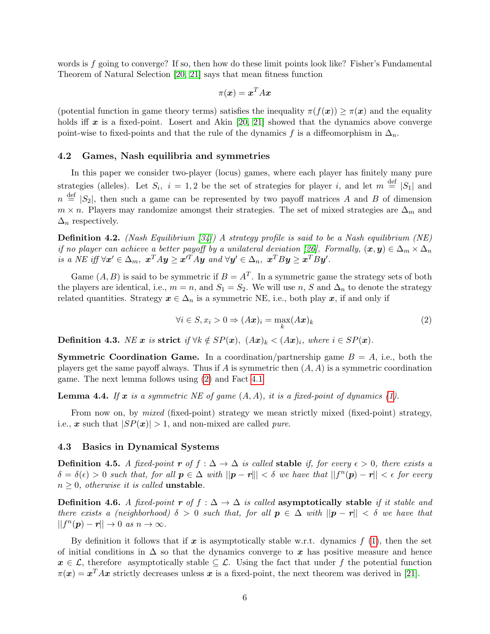words is  $f$  going to converge? If so, then how do these limit points look like? Fisher's Fundamental Theorem of Natural Selection [\[20,](#page-12-0) [21\]](#page-12-2) says that mean fitness function

$$
\pi(\bm{x}) = \bm{x}^T A \bm{x}
$$

(potential function in game theory terms) satisfies the inequality  $\pi(f(\mathbf{x})) > \pi(\mathbf{x})$  and the equality holds iff x is a fixed-point. Losert and Akin [\[20,](#page-12-0) [21\]](#page-12-2) showed that the dynamics above converge point-wise to fixed-points and that the rule of the dynamics f is a diffeomorphism in  $\Delta_n$ .

#### <span id="page-6-4"></span>4.2 Games, Nash equilibria and symmetries

In this paper we consider two-player (locus) games, where each player has finitely many pure strategies (alleles). Let  $S_i$ ,  $i = 1, 2$  be the set of strategies for player i, and let  $m \stackrel{\text{def}}{=} |S_1|$  and  $n \stackrel{\text{def}}{=} |S_2|$ , then such a game can be represented by two payoff matrices A and B of dimension  $m \times n$ . Players may randomize amongst their strategies. The set of mixed strategies are  $\Delta_m$  and  $\Delta_n$  respectively.

**Definition 4.2.** (Nash Equilibrium [\[34\]](#page-12-13)) A strategy profile is said to be a Nash equilibrium (NE) if no player can achieve a better payoff by a unilateral deviation [\[26\]](#page-12-14). Formally,  $(\bm{x}, \bm{y}) \in \Delta_m \times \Delta_n$ is a NE iff  $\forall x' \in \Delta_m$ ,  $x^T A y \ge x'^T A y$  and  $\forall y' \in \Delta_n$ ,  $x^T B y \ge x^T B y'$ .

Game  $(A, B)$  is said to be symmetric if  $B = A<sup>T</sup>$ . In a symmetric game the strategy sets of both the players are identical, i.e.,  $m = n$ , and  $S_1 = S_2$ . We will use n, S and  $\Delta_n$  to denote the strategy related quantities. Strategy  $x \in \Delta_n$  is a symmetric NE, i.e., both play x, if and only if

<span id="page-6-1"></span>
$$
\forall i \in S, x_i > 0 \Rightarrow (A\mathbf{x})_i = \max_k (A\mathbf{x})_k \tag{2}
$$

<span id="page-6-2"></span>Definition 4.3. NE x is strict if  $\forall k \notin SP(x)$ ,  $(Ax)_k < (Ax)_i$ , where  $i \in SP(x)$ .

**Symmetric Coordination Game.** In a coordination/partnership game  $B = A$ , i.e., both the players get the same payoff always. Thus if A is symmetric then  $(A, A)$  is a symmetric coordination game. The next lemma follows using [\(2\)](#page-6-1) and Fact [4.1](#page-5-0)

**Lemma 4.4.** If x is a symmetric NE of game  $(A, A)$ , it is a fixed-point of dynamics  $(1)$ .

From now on, by *mixed* (fixed-point) strategy we mean strictly mixed (fixed-point) strategy, i.e., x such that  $|SP(x)| > 1$ , and non-mixed are called *pure*.

#### 4.3 Basics in Dynamical Systems

<span id="page-6-3"></span>**Definition 4.5.** A fixed-point r of  $f : \Delta \to \Delta$  is called stable if, for every  $\epsilon > 0$ , there exists a  $\delta = \delta(\epsilon) > 0$  such that, for all  $p \in \Delta$  with  $||p - r||| < \delta$  we have that  $||f^n(p) - r|| < \epsilon$  for every  $n \geq 0$ , otherwise it is called **unstable**.

<span id="page-6-0"></span>Definition 4.6. A fixed-point r of  $f : \Delta \to \Delta$  is called asymptotically stable if it stable and there exists a (neighborhood)  $\delta > 0$  such that, for all  $p \in \Delta$  with  $||p - r|| < \delta$  we have that  $||f^n(\mathbf{p}) - \mathbf{r}|| \to 0 \text{ as } n \to \infty.$ 

By definition it follows that if x is asymptotically stable w.r.t. dynamics  $f(1)$  $f(1)$ , then the set of initial conditions in  $\Delta$  so that the dynamics converge to x has positive measure and hence  $x \in \mathcal{L}$ , therefore asymptotically stable  $\subseteq \mathcal{L}$ . Using the fact that under f the potential function  $\pi(x) = x^T A x$  strictly decreases unless x is a fixed-point, the next theorem was derived in [\[21\]](#page-12-2).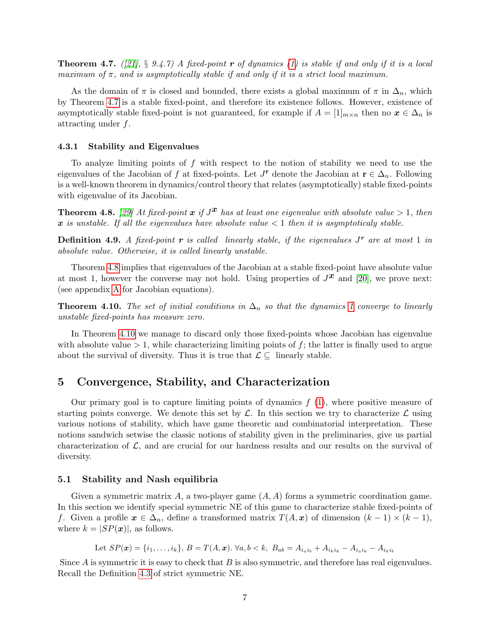<span id="page-7-1"></span>**Theorem 4.7.** ([\[21\]](#page-12-2), § 9.4.7) A fixed-point **r** of dynamics [\(1\)](#page-5-1) is stable if and only if it is a local maximum of  $\pi$ , and is asymptotically stable if and only if it is a strict local maximum.

As the domain of  $\pi$  is closed and bounded, there exists a global maximum of  $\pi$  in  $\Delta_n$ , which by Theorem [4.7](#page-7-1) is a stable fixed-point, and therefore its existence follows. However, existence of asymptotically stable fixed-point is not guaranteed, for example if  $A = [1]_{m \times n}$  then no  $x \in \Delta_n$  is attracting under f.

#### 4.3.1 Stability and Eigenvalues

To analyze limiting points of f with respect to the notion of stability we need to use the eigenvalues of the Jacobian of f at fixed-points. Let  $J^{\mathbf{r}}$  denote the Jacobian at  $\mathbf{r} \in \Delta_n$ . Following is a well-known theorem in dynamics/control theory that relates (asymptotically) stable fixed-points with eigenvalue of its Jacobian.

<span id="page-7-2"></span>**Theorem 4.8.** [\[29\]](#page-12-15) At fixed-point  $x$  if  $J^x$  has at least one eigenvalue with absolute value  $> 1$ , then x is unstable. If all the eigenvalues have absolute value  $\lt 1$  then it is asymptoticaly stable.

<span id="page-7-3"></span>**Definition 4.9.** A fixed-point **r** is called linearly stable, if the eigenvalues  $J^r$  are at most 1 in absolute value. Otherwise, it is called linearly unstable.

Theorem [4.8](#page-7-2) implies that eigenvalues of the Jacobian at a stable fixed-point have absolute value at most 1, however the converse may not hold. Using properties of  $J^{\mathbf{x}}$  and [\[20\]](#page-12-0), we prove next: (see appendix [A](#page-13-0) for Jacobian equations).

<span id="page-7-0"></span>**Theorem 4.10.** The set of initial conditions in  $\Delta_n$  so that the dynamics [1](#page-5-1) converge to linearly unstable fixed-points has measure zero.

In Theorem [4.10](#page-7-0) we manage to discard only those fixed-points whose Jacobian has eigenvalue with absolute value  $> 1$ , while characterizing limiting points of f; the latter is finally used to argue about the survival of diversity. Thus it is true that  $\mathcal{L} \subseteq$  linearly stable.

# <span id="page-7-4"></span>5 Convergence, Stability, and Characterization

Our primary goal is to capture limiting points of dynamics  $f(1)$  $f(1)$ , where positive measure of starting points converge. We denote this set by  $\mathcal{L}$ . In this section we try to characterize  $\mathcal{L}$  using various notions of stability, which have game theoretic and combinatorial interpretation. These notions sandwich setwise the classic notions of stability given in the preliminaries, give us partial characterization of  $\mathcal{L}$ , and are crucial for our hardness results and our results on the survival of diversity.

#### <span id="page-7-5"></span>5.1 Stability and Nash equilibria

Given a symmetric matrix A, a two-player game  $(A, A)$  forms a symmetric coordination game. In this section we identify special symmetric NE of this game to characterize stable fixed-points of f. Given a profile  $x \in \Delta_n$ , define a transformed matrix  $T(A, x)$  of dimension  $(k-1) \times (k-1)$ , where  $k = |SP(x)|$ , as follows.

Let  $SP(x) = \{i_1, \ldots, i_k\}, B = T(A, x)$ .  $\forall a, b < k, B_{ab} = A_{i_a i_b} + A_{i_k i_k} - A_{i_a i_k} - A_{i_k i_b}$ 

Since  $A$  is symmetric it is easy to check that  $B$  is also symmetric, and therefore has real eigenvalues. Recall the Definition [4.3](#page-6-2) of strict symmetric NE.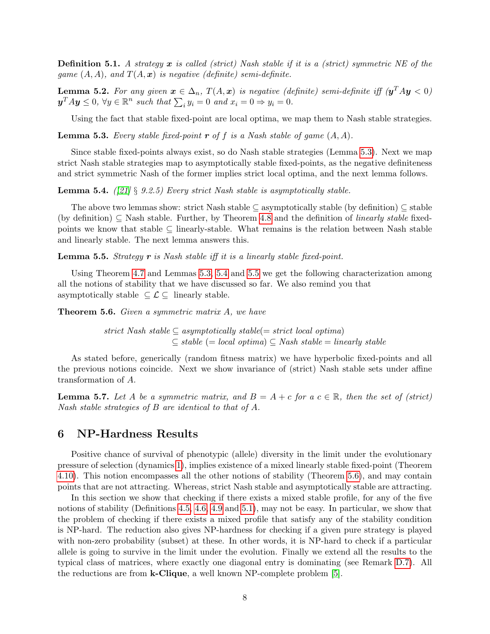<span id="page-8-5"></span>**Definition 5.1.** A strategy  $x$  is called (strict) Nash stable if it is a (strict) symmetric NE of the game  $(A, A)$ , and  $T(A, x)$  is negative (definite) semi-definite.

<span id="page-8-7"></span>**Lemma 5.2.** For any given  $x \in \Delta_n$ ,  $T(A, x)$  is negative (definite) semi-definite iff  $(y^T A y < 0)$  $y^T A y \leq 0$ ,  $\forall y \in \mathbb{R}^n$  such that  $\sum_i y_i = 0$  and  $x_i = 0 \Rightarrow y_i = 0$ .

Using the fact that stable fixed-point are local optima, we map them to Nash stable strategies.

<span id="page-8-2"></span>**Lemma 5.3.** Every stable fixed-point  $\mathbf{r}$  of f is a Nash stable of game  $(A, A)$ .

Since stable fixed-points always exist, so do Nash stable strategies (Lemma [5.3\)](#page-8-2). Next we map strict Nash stable strategies map to asymptotically stable fixed-points, as the negative definiteness and strict symmetric Nash of the former implies strict local optima, and the next lemma follows.

<span id="page-8-3"></span>**Lemma 5.4.** ([\[21\]](#page-12-2) § 9.2.5) Every strict Nash stable is asymptotically stable.

The above two lemmas show: strict Nash stable ⊆ asymptotically stable (by definition) ⊆ stable (by definition)  $\subseteq$  Nash stable. Further, by Theorem [4.8](#page-7-2) and the definition of *linearly stable* fixedpoints we know that stable  $\subseteq$  linearly-stable. What remains is the relation between Nash stable and linearly stable. The next lemma answers this.

<span id="page-8-4"></span>**Lemma 5.5.** Strategy  $r$  is Nash stable iff it is a linearly stable fixed-point.

Using Theorem [4.7](#page-7-1) and Lemmas [5.3,](#page-8-2) [5.4](#page-8-3) and [5.5](#page-8-4) we get the following characterization among all the notions of stability that we have discussed so far. We also remind you that asymptotically stable  $\subseteq \mathcal{L} \subseteq$  linearly stable.

<span id="page-8-1"></span>Theorem 5.6. Given a symmetric matrix A, we have

strict Nash stable  $\subseteq$  asymptotically stable(= strict local optima)  $\subset$  stable (= local optima)  $\subset$  Nash stable = linearly stable

As stated before, generically (random fitness matrix) we have hyperbolic fixed-points and all the previous notions coincide. Next we show invariance of (strict) Nash stable sets under affine transformation of A.

<span id="page-8-6"></span>**Lemma 5.7.** Let A be a symmetric matrix, and  $B = A + c$  for a  $c \in \mathbb{R}$ , then the set of (strict) Nash stable strategies of B are identical to that of A.

## <span id="page-8-0"></span>6 NP-Hardness Results

Positive chance of survival of phenotypic (allele) diversity in the limit under the evolutionary pressure of selection (dynamics [1\)](#page-5-1), implies existence of a mixed linearly stable fixed-point (Theorem [4.10\)](#page-7-0). This notion encompasses all the other notions of stability (Theorem [5.6\)](#page-8-1), and may contain points that are not attracting. Whereas, strict Nash stable and asymptotically stable are attracting.

In this section we show that checking if there exists a mixed stable profile, for any of the five notions of stability (Definitions [4.5,](#page-6-3) [4.6,](#page-6-0) [4.9](#page-7-3) and [5.1\)](#page-8-5), may not be easy. In particular, we show that the problem of checking if there exists a mixed profile that satisfy any of the stability condition is NP-hard. The reduction also gives NP-hardness for checking if a given pure strategy is played with non-zero probability (subset) at these. In other words, it is NP-hard to check if a particular allele is going to survive in the limit under the evolution. Finally we extend all the results to the typical class of matrices, where exactly one diagonal entry is dominating (see Remark [D.7\)](#page-22-1). All the reductions are from k-Clique, a well known NP-complete problem [\[5\]](#page-11-15).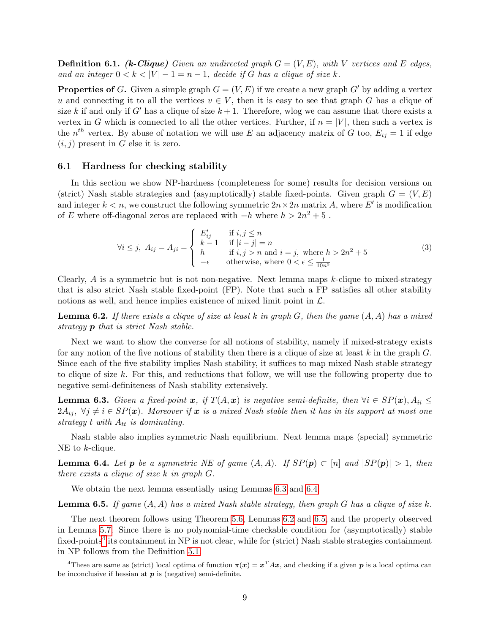**Definition 6.1.** (k-Clique) Given an undirected graph  $G = (V, E)$ , with V vertices and E edges, and an integer  $0 < k < |V| - 1 = n - 1$ , decide if G has a clique of size k.

**Properties of G.** Given a simple graph  $G = (V, E)$  if we create a new graph G' by adding a vertex u and connecting it to all the vertices  $v \in V$ , then it is easy to see that graph G has a clique of size k if and only if G' has a clique of size  $k + 1$ . Therefore, wlog we can assume that there exists a vertex in G which is connected to all the other vertices. Further, if  $n = |V|$ , then such a vertex is the  $n^{th}$  vertex. By abuse of notation we will use E an adjacency matrix of G too,  $E_{ij} = 1$  if edge  $(i, j)$  present in G else it is zero.

#### <span id="page-9-6"></span>6.1 Hardness for checking stability

In this section we show NP-hardness (completeness for some) results for decision versions on (strict) Nash stable strategies and (asymptotically) stable fixed-points. Given graph  $G = (V, E)$ and integer  $k < n$ , we construct the following symmetric  $2n \times 2n$  matrix A, where E' is modification of E where off-diagonal zeros are replaced with  $-h$  where  $h > 2n^2 + 5$ .

<span id="page-9-0"></span>
$$
\forall i \leq j, \ A_{ij} = A_{ji} = \begin{cases} E'_{ij} & \text{if } i, j \leq n \\ k - 1 & \text{if } |i - j| = n \\ h & \text{if } i, j > n \text{ and } i = j, \text{ where } h > 2n^2 + 5 \\ -\epsilon & \text{otherwise, where } 0 < \epsilon \leq \frac{1}{10n^3} \end{cases} \tag{3}
$$

Clearly,  $A$  is a symmetric but is not non-negative. Next lemma maps  $k$ -clique to mixed-strategy that is also strict Nash stable fixed-point (FP). Note that such a FP satisfies all other stability notions as well, and hence implies existence of mixed limit point in  $\mathcal{L}$ .

<span id="page-9-3"></span>**Lemma 6.2.** If there exists a clique of size at least k in graph  $G$ , then the game  $(A, A)$  has a mixed strategy **p** that is strict Nash stable.

Next we want to show the converse for all notions of stability, namely if mixed-strategy exists for any notion of the five notions of stability then there is a clique of size at least  $k$  in the graph  $G$ . Since each of the five stability implies Nash stability, it suffices to map mixed Nash stable strategy to clique of size k. For this, and reductions that follow, we will use the following property due to negative semi-definiteness of Nash stability extensively.

<span id="page-9-1"></span>**Lemma 6.3.** Given a fixed-point x, if  $T(A, x)$  is negative semi-definite, then  $\forall i \in SP(x)$ ,  $A_{ii} \leq$  $2A_{ij}$ ,  $\forall j \neq i \in SP(\mathbf{x})$ . Moreover if x is a mixed Nash stable then it has in its support at most one strategy t with  $A_{tt}$  is dominating.

Nash stable also implies symmetric Nash equilibrium. Next lemma maps (special) symmetric NE to *k*-clique.

<span id="page-9-2"></span>**Lemma 6.4.** Let **p** be a symmetric NE of game  $(A, A)$ . If  $SP(p) \subset [n]$  and  $|SP(p)| > 1$ , then there exists a clique of size k in graph G.

We obtain the next lemma essentially using Lemmas [6.3](#page-9-1) and [6.4.](#page-9-2)

<span id="page-9-4"></span>**Lemma 6.5.** If game  $(A, A)$  has a mixed Nash stable strategy, then graph G has a clique of size k.

The next theorem follows using Theorem [5.6,](#page-8-1) Lemmas [6.2](#page-9-3) and [6.5,](#page-9-4) and the property observed in Lemma [5.7.](#page-8-6) Since there is no polynomial-time checkable condition for (asymptotically) stable fixed-points<sup>[4](#page-9-5)</sup> its containment in NP is not clear, while for (strict) Nash stable strategies containment in NP follows from the Definition [5.1.](#page-8-5)

<span id="page-9-5"></span><sup>&</sup>lt;sup>4</sup>These are same as (strict) local optima of function  $\pi(x) = x^T A x$ , and checking if a given p is a local optima can be inconclusive if hessian at  $p$  is (negative) semi-definite.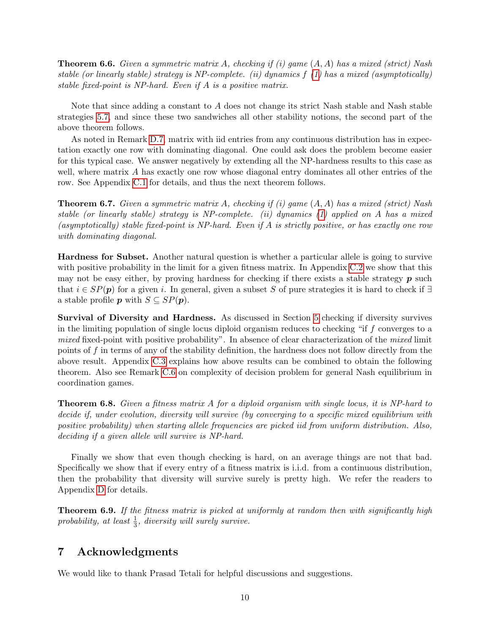<span id="page-10-0"></span>**Theorem 6.6.** Given a symmetric matrix A, checking if (i) game  $(A, A)$  has a mixed (strict) Nash stable (or linearly stable) strategy is NP-complete. (ii) dynamics  $f(1)$  $f(1)$  has a mixed (asymptotically) stable fixed-point is NP-hard. Even if A is a positive matrix.

Note that since adding a constant to A does not change its strict Nash stable and Nash stable strategies [5.7,](#page-8-6) and since these two sandwiches all other stability notions, the second part of the above theorem follows.

As noted in Remark [D.7,](#page-22-1) matrix with iid entries from any continuous distribution has in expectation exactly one row with dominating diagonal. One could ask does the problem become easier for this typical case. We answer negatively by extending all the NP-hardness results to this case as well, where matrix A has exactly one row whose diagonal entry dominates all other entries of the row. See Appendix [C.1](#page-17-0) for details, and thus the next theorem follows.

**Theorem 6.7.** Given a symmetric matrix A, checking if (i) game  $(A, A)$  has a mixed (strict) Nash stable (or linearly stable) strategy is NP-complete. (ii) dynamics [\(1\)](#page-5-1) applied on A has a mixed (asymptotically) stable fixed-point is NP-hard. Even if A is strictly positive, or has exactly one row with dominating diagonal.

Hardness for Subset. Another natural question is whether a particular allele is going to survive with positive probability in the limit for a given fitness matrix. In Appendix [C.2](#page-19-0) we show that this may not be easy either, by proving hardness for checking if there exists a stable strategy  $p$  such that  $i \in SP(p)$  for a given i. In general, given a subset S of pure strategies it is hard to check if ∃ a stable profile **p** with  $S \subseteq SP(p)$ .

Survival of Diversity and Hardness. As discussed in Section [5](#page-7-4) checking if diversity survives in the limiting population of single locus diploid organism reduces to checking "if f converges to a mixed fixed-point with positive probability". In absence of clear characterization of the mixed limit points of f in terms of any of the stability definition, the hardness does not follow directly from the above result. Appendix [C.3](#page-19-1) explains how above results can be combined to obtain the following theorem. Also see Remark [C.6](#page-20-1) on complexity of decision problem for general Nash equilibrium in coordination games.

Theorem 6.8. Given a fitness matrix A for a diploid organism with single locus, it is NP-hard to decide if, under evolution, diversity will survive (by converging to a specific mixed equilibrium with positive probability) when starting allele frequencies are picked iid from uniform distribution. Also, deciding if a given allele will survive is NP-hard.

Finally we show that even though checking is hard, on an average things are not that bad. Specifically we show that if every entry of a fitness matrix is i.i.d. from a continuous distribution, then the probability that diversity will survive surely is pretty high. We refer the readers to Appendix [D](#page-20-0) for details.

Theorem 6.9. If the fitness matrix is picked at uniformly at random then with significantly high probability, at least  $\frac{1}{3}$ , diversity will surely survive.

# 7 Acknowledgments

We would like to thank Prasad Tetali for helpful discussions and suggestions.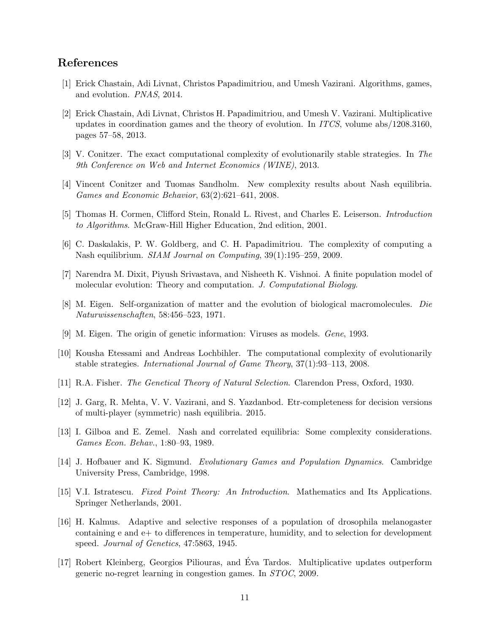# References

- <span id="page-11-7"></span>[1] Erick Chastain, Adi Livnat, Christos Papadimitriou, and Umesh Vazirani. Algorithms, games, and evolution. PNAS, 2014.
- <span id="page-11-6"></span>[2] Erick Chastain, Adi Livnat, Christos H. Papadimitriou, and Umesh V. Vazirani. Multiplicative updates in coordination games and the theory of evolution. In ITCS, volume abs/1208.3160, pages 57–58, 2013.
- <span id="page-11-13"></span>[3] V. Conitzer. The exact computational complexity of evolutionarily stable strategies. In The 9th Conference on Web and Internet Economics (WINE), 2013.
- <span id="page-11-4"></span>[4] Vincent Conitzer and Tuomas Sandholm. New complexity results about Nash equilibria. Games and Economic Behavior, 63(2):621–641, 2008.
- <span id="page-11-15"></span>[5] Thomas H. Cormen, Clifford Stein, Ronald L. Rivest, and Charles E. Leiserson. Introduction to Algorithms. McGraw-Hill Higher Education, 2nd edition, 2001.
- <span id="page-11-16"></span>[6] C. Daskalakis, P. W. Goldberg, and C. H. Papadimitriou. The complexity of computing a Nash equilibrium. SIAM Journal on Computing, 39(1):195–259, 2009.
- <span id="page-11-10"></span>[7] Narendra M. Dixit, Piyush Srivastava, and Nisheeth K. Vishnoi. A finite population model of molecular evolution: Theory and computation. J. Computational Biology.
- <span id="page-11-11"></span>[8] M. Eigen. Self-organization of matter and the evolution of biological macromolecules. Die Naturwissenschaften, 58:456–523, 1971.
- <span id="page-11-9"></span>[9] M. Eigen. The origin of genetic information: Viruses as models. Gene, 1993.
- <span id="page-11-12"></span>[10] Kousha Etessami and Andreas Lochbihler. The computational complexity of evolutionarily stable strategies. International Journal of Game Theory, 37(1):93–113, 2008.
- <span id="page-11-1"></span>[11] R.A. Fisher. The Genetical Theory of Natural Selection. Clarendon Press, Oxford, 1930.
- <span id="page-11-5"></span>[12] J. Garg, R. Mehta, V. V. Vazirani, and S. Yazdanbod. Etr-completeness for decision versions of multi-player (symmetric) nash equilibria. 2015.
- <span id="page-11-3"></span>[13] I. Gilboa and E. Zemel. Nash and correlated equilibria: Some complexity considerations. Games Econ. Behav., 1:80–93, 1989.
- <span id="page-11-8"></span>[14] J. Hofbauer and K. Sigmund. Evolutionary Games and Population Dynamics. Cambridge University Press, Cambridge, 1998.
- <span id="page-11-14"></span>[15] V.I. Istratescu. Fixed Point Theory: An Introduction. Mathematics and Its Applications. Springer Netherlands, 2001.
- <span id="page-11-0"></span>[16] H. Kalmus. Adaptive and selective responses of a population of drosophila melanogaster containing e and e+ to differences in temperature, humidity, and to selection for development speed. Journal of Genetics, 47:5863, 1945.
- <span id="page-11-2"></span>[17] Robert Kleinberg, Georgios Piliouras, and Eva Tardos. Multiplicative updates outperform ´ generic no-regret learning in congestion games. In STOC, 2009.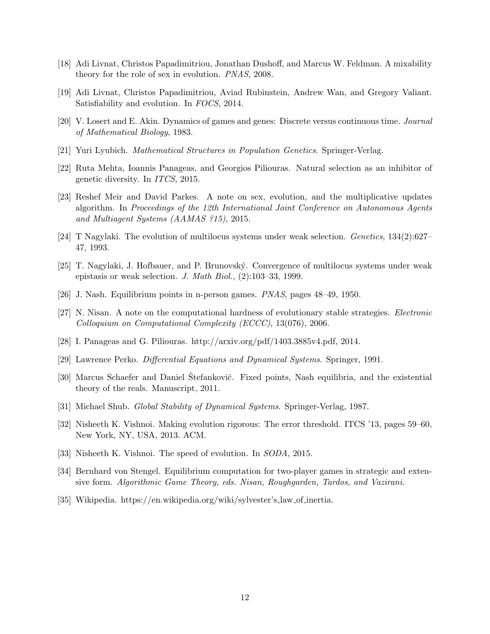- <span id="page-12-4"></span>[18] Adi Livnat, Christos Papadimitriou, Jonathan Dushoff, and Marcus W. Feldman. A mixability theory for the role of sex in evolution. PNAS, 2008.
- <span id="page-12-6"></span>[19] Adi Livnat, Christos Papadimitriou, Aviad Rubinstein, Andrew Wan, and Gregory Valiant. Satisfiability and evolution. In FOCS, 2014.
- <span id="page-12-0"></span>[20] V. Losert and E. Akin. Dynamics of games and genes: Discrete versus continuous time. Journal of Mathematical Biology, 1983.
- <span id="page-12-2"></span>[21] Yuri Lyubich. Mathematical Structures in Population Genetics. Springer-Verlag.
- <span id="page-12-10"></span>[22] Ruta Mehta, Ioannis Panageas, and Georgios Piliouras. Natural selection as an inhibitor of genetic diversity. In ITCS, 2015.
- <span id="page-12-5"></span>[23] Reshef Meir and David Parkes. A note on sex, evolution, and the multiplicative updates algorithm. In Proceedings of the 12th International Joint Conference on Autonomous Agents and Multiagent Systems (AAMAS ?15), 2015.
- <span id="page-12-11"></span>[24] T Nagylaki. The evolution of multilocus systems under weak selection. Genetics, 134(2):627– 47, 1993.
- <span id="page-12-12"></span>[25] T. Nagylaki, J. Hofbauer, and P. Brunovsk´y. Convergence of multilocus systems under weak epistasis or weak selection. J. Math Biol., (2):103–33, 1999.
- <span id="page-12-14"></span>[26] J. Nash. Equilibrium points in n-person games. PNAS, pages 48–49, 1950.
- <span id="page-12-9"></span>[27] N. Nisan. A note on the computational hardness of evolutionary stable strategies. Electronic Colloquium on Computational Complexity (ECCC), 13(076), 2006.
- <span id="page-12-16"></span>[28] I. Panageas and G. Piliouras. http://arxiv.org/pdf/1403.3885v4.pdf, 2014.
- <span id="page-12-15"></span>[29] Lawrence Perko. Differential Equations and Dynamical Systems. Springer, 1991.
- <span id="page-12-3"></span>[30] Marcus Schaefer and Daniel Stefankovič. Fixed points, Nash equilibria, and the existential theory of the reals. Manuscript, 2011.
- <span id="page-12-17"></span>[31] Michael Shub. Global Stability of Dynamical Systems. Springer-Verlag, 1987.
- <span id="page-12-7"></span>[32] Nisheeth K. Vishnoi. Making evolution rigorous: The error threshold. ITCS '13, pages 59–60, New York, NY, USA, 2013. ACM.
- <span id="page-12-8"></span>[33] Nisheeth K. Vishnoi. The speed of evolution. In SODA, 2015.
- <span id="page-12-13"></span>[34] Bernhard von Stengel. Equilibrium computation for two-player games in strategic and extensive form. Algorithmic Game Theory, eds. Nisan, Roughgarden, Tardos, and Vazirani.
- <span id="page-12-1"></span>[35] Wikipedia. https://en.wikipedia.org/wiki/sylvester's law of inertia.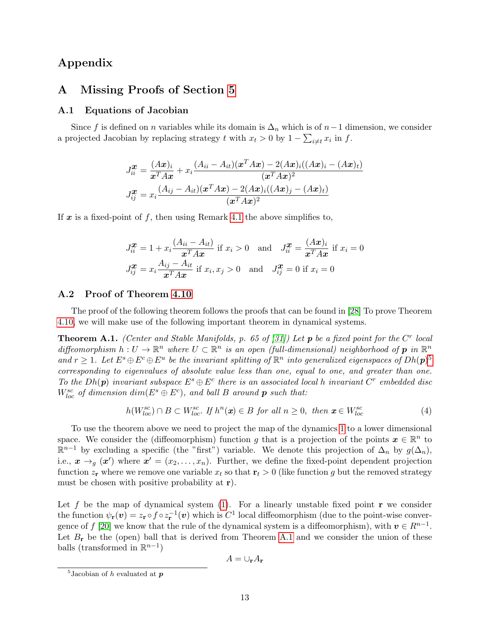# Appendix

# <span id="page-13-0"></span>A Missing Proofs of Section [5](#page-7-4)

## A.1 Equations of Jacobian

Since f is defined on n variables while its domain is  $\Delta_n$  which is of  $n-1$  dimension, we consider a projected Jacobian by replacing strategy t with  $x_t > 0$  by  $1 - \sum_{i \neq t} x_i$  in f.

$$
J_{ii}^{\mathbf{x}} = \frac{(Ax)_i}{x^T A x} + x_i \frac{(A_{ii} - A_{it})(x^T A x) - 2(Ax)_i((Ax)_i - (Ax)_t)}{(x^T A x)^2}
$$

$$
J_{ij}^{\mathbf{x}} = x_i \frac{(A_{ij} - A_{it})(x^T A x) - 2(Ax)_i((Ax)_j - (Ax)_t)}{(x^T A x)^2}
$$

If x is a fixed-point of f, then using Remark [4.1](#page-5-0) the above simplifies to,

$$
J_{ii}^{\mathbf{x}} = 1 + x_i \frac{(A_{ii} - A_{it})}{\mathbf{x}^T A \mathbf{x}} \text{ if } x_i > 0 \text{ and } J_{ii}^{\mathbf{x}} = \frac{(A\mathbf{x})_i}{\mathbf{x}^T A \mathbf{x}} \text{ if } x_i = 0
$$
  

$$
J_{ij}^{\mathbf{x}} = x_i \frac{A_{ij} - A_{it}}{\mathbf{x}^T A \mathbf{x}} \text{ if } x_i, x_j > 0 \text{ and } J_{ij}^{\mathbf{x}} = 0 \text{ if } x_i = 0
$$

## A.2 Proof of Theorem [4.10](#page-7-0)

The proof of the following theorem follows the proofs that can be found in [\[28\]](#page-12-16) To prove Theorem [4.10,](#page-7-0) we will make use of the following important theorem in dynamical systems.

<span id="page-13-2"></span>**Theorem A.1.** (Center and Stable Manifolds, p. 65 of [\[31\]](#page-12-17)) Let **p** be a fixed point for the C<sup>r</sup> local diffeomorphism  $h: U \to \mathbb{R}^n$  where  $U \subset \mathbb{R}^n$  is an open (full-dimensional) neighborhood of  $p$  in  $\mathbb{R}^n$ and  $r \geq 1$ . Let  $E^s \oplus E^c \oplus E^u$  be the invariant splitting of  $\mathbb{R}^n$  into generalized eigenspaces of  $Dh(\mathbf{p})^5$  $Dh(\mathbf{p})^5$ corresponding to eigenvalues of absolute value less than one, equal to one, and greater than one. To the  $Dh(p)$  invariant subspace  $E^s \oplus E^c$  there is an associated local h invariant  $C^r$  embedded disc  $W^{sc}_{loc}$  of dimension  $dim(E^s \oplus E^c)$ , and ball B around **p** such that:

$$
h(W_{loc}^{sc}) \cap B \subset W_{loc}^{sc}.\ \text{If } h^n(\mathbf{x}) \in B \ \text{for all } n \ge 0, \ \text{then } \mathbf{x} \in W_{loc}^{sc} \tag{4}
$$

To use the theorem above we need to project the map of the dynamics [1](#page-5-1) to a lower dimensional space. We consider the (diffeomorphism) function g that is a projection of the points  $x \in \mathbb{R}^n$  to  $\mathbb{R}^{n-1}$  by excluding a specific (the "first") variable. We denote this projection of  $\Delta_n$  by  $g(\Delta_n)$ , i.e.,  $x \rightarrow_g (x')$  where  $x' = (x_2, \ldots, x_n)$ . Further, we define the fixed-point dependent projection function  $z_r$  where we remove one variable  $x_t$  so that  $r_t > 0$  (like function g but the removed strategy must be chosen with positive probability at  $r$ ).

Let f be the map of dynamical system [\(1\)](#page-5-1). For a linearly unstable fixed point  $\bf{r}$  we consider the function  $\psi_{\mathbf{r}}(\boldsymbol{v}) = z_{\mathbf{r}} \circ f \circ z_{\mathbf{r}}^{-1}(\boldsymbol{v})$  which is  $C^1$  local diffeomorphism (due to the point-wise conver-gence of f [\[20\]](#page-12-0) we know that the rule of the dynamical system is a diffeomorphism), with  $v \in R^{n-1}$ . Let  $B_r$  be the (open) ball that is derived from Theorem [A.1](#page-13-2) and we consider the union of these balls (transformed in  $\mathbb{R}^{n-1}$ )

$$
A=\cup_{\mathbf{r}}A_{\mathbf{r}}
$$

<span id="page-13-1"></span><sup>&</sup>lt;sup>5</sup>Jacobian of  $h$  evaluated at  $\boldsymbol{p}$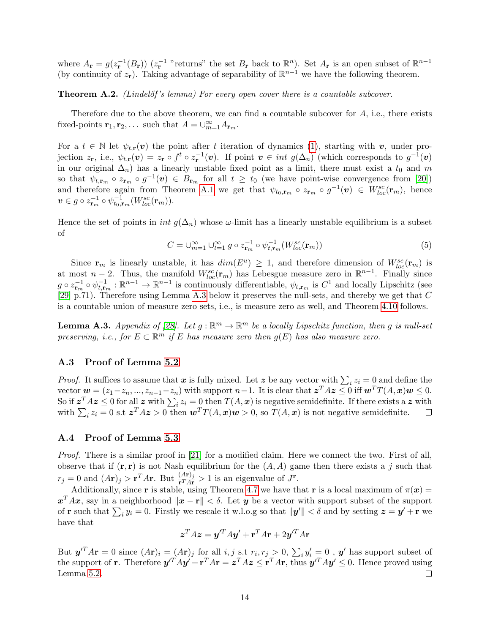where  $A_{\mathbf{r}} = g(z_{\mathbf{r}}^{-1}(B_{\mathbf{r}}))$   $(z_{\mathbf{r}}^{-1}$  "returns" the set  $B_{\mathbf{r}}$  back to  $\mathbb{R}^n$ ). Set  $A_{\mathbf{r}}$  is an open subset of  $\mathbb{R}^{n-1}$ (by continuity of  $z_r$ ). Taking advantage of separability of  $\mathbb{R}^{n-1}$  we have the following theorem.

**Theorem A.2.** (Lindelőf's lemma) For every open cover there is a countable subcover.

Therefore due to the above theorem, we can find a countable subcover for  $A$ , i.e., there exists fixed-points  $\mathbf{r}_1, \mathbf{r}_2, \ldots$  such that  $A = \bigcup_{m=1}^{\infty} A_{\mathbf{r}_m}$ .

For a  $t \in \mathbb{N}$  let  $\psi_{t,r}(v)$  the point after t iteration of dynamics [\(1\)](#page-5-1), starting with v, under projection  $z_{\mathbf{r}}$ , i.e.,  $\psi_{t,\mathbf{r}}(\boldsymbol{v}) = z_{\mathbf{r}} \circ f^t \circ z_{\mathbf{r}}^{-1}(\boldsymbol{v})$ . If point  $\boldsymbol{v} \in int g(\Delta_n)$  (which corresponds to  $g^{-1}(\boldsymbol{v})$ in our original  $\Delta_n$ ) has a linearly unstable fixed point as a limit, there must exist a  $t_0$  and m so that  $\psi_{t,\mathbf{r}_m} \circ z_{\mathbf{r}_m} \circ g^{-1}(\boldsymbol{v}) \in B_{\mathbf{r}_m}$  for all  $t \geq t_0$  (we have point-wise convergence from [\[20\]](#page-12-0)) and therefore again from Theorem [A.1](#page-13-2) we get that  $\psi_{t_0,\mathbf{r}_m} \circ z_{\mathbf{r}_m} \circ g^{-1}(\mathbf{v}) \in W^{sc}_{loc}(\mathbf{r}_m)$ , hence  $\boldsymbol{v} \in g \circ z_{\mathbf{r}_m}^{-1} \circ \psi_{t_0,\mathbf{r}_m}^{-1}(W^{sc}_{loc}(\mathbf{r}_m)).$ 

Hence the set of points in *int*  $g(\Delta_n)$  whose  $\omega$ -limit has a linearly unstable equilibrium is a subset of

$$
C = \bigcup_{m=1}^{\infty} \bigcup_{t=1}^{\infty} g \circ z_{\mathbf{r}_m}^{-1} \circ \psi_{t,\mathbf{r}_m}^{-1}(W_{loc}^{sc}(\mathbf{r}_m)) \tag{5}
$$

Since  $\mathbf{r}_m$  is linearly unstable, it has  $dim(E^u) \geq 1$ , and therefore dimension of  $W^{sc}_{loc}(\mathbf{r}_m)$  is at most  $n-2$ . Thus, the manifold  $W_{loc}^{sc}(\mathbf{r}_m)$  has Lebesgue measure zero in  $\mathbb{R}^{n-1}$ . Finally since  $g \circ z_{\mathbf{r}_m}^{-1} \circ \psi_{t,\mathbf{r}_m}^{-1} : \mathbb{R}^{n-1} \to \mathbb{R}^{n-1}$  is continuously differentiable,  $\psi_{t,\mathbf{r}_m}$  is  $C^1$  and locally Lipschitz (see [\[29\]](#page-12-15) p.71). Therefore using Lemma [A.3](#page-14-0) below it preserves the null-sets, and thereby we get that C is a countable union of measure zero sets, i.e., is measure zero as well, and Theorem [4.10](#page-7-0) follows.

<span id="page-14-0"></span>**Lemma A.3.** Appendix of [\[28\]](#page-12-16). Let  $g : \mathbb{R}^m \to \mathbb{R}^m$  be a locally Lipschitz function, then g is null-set preserving, i.e., for  $E \subset \mathbb{R}^m$  if E has measure zero then  $g(E)$  has also measure zero.

## A.3 Proof of Lemma [5.2](#page-8-7)

*Proof.* It suffices to assume that x is fully mixed. Let z be any vector with  $\sum_i z_i = 0$  and define the vector  $\mathbf{w} = (z_1 - z_n, ..., z_{n-1} - z_n)$  with support  $n-1$ . It is clear that  $\mathbf{z}^T A \mathbf{z} \leq 0$  iff  $\mathbf{w}^T T(A, \mathbf{x}) \mathbf{w} \leq 0$ . So if  $z^T A z \leq 0$  for all z with  $\sum_i z_i = 0$  then  $T(A, x)$  is negative semidefinite. If there exists a z with with  $\sum_i z_i = 0$  s.t  $z^T A z > 0$  then  $\mathbf{w}^T T(A, x) \mathbf{w} > 0$ , so  $T(A, x)$  is not negative semidefinite.

#### A.4 Proof of Lemma [5.3](#page-8-2)

Proof. There is a similar proof in [\[21\]](#page-12-2) for a modified claim. Here we connect the two. First of all, observe that if  $(\mathbf{r}, \mathbf{r})$  is not Nash equilibrium for the  $(A, A)$  game then there exists a j such that  $r_j = 0$  and  $(A\mathbf{r})_j > \mathbf{r}^T A\mathbf{r}$ . But  $\frac{(A\mathbf{r})_j}{\mathbf{r}^T A\mathbf{r}} > 1$  is an eigenvalue of  $J^{\mathbf{r}}$ .

Additionally, since r is stable, using Theorem [4.7](#page-7-1) we have that r is a local maximum of  $\pi(x)$  =  $\mathbf{x}^T A \mathbf{x}$ , say in a neighborhood  $\|\mathbf{x} - \mathbf{r}\| < \delta$ . Let y be a vector with support subset of the support of **r** such that  $\sum_i y_i = 0$ . Firstly we rescale it w.l.o.g so that  $||y'|| < \delta$  and by setting  $z = y' + r$  we have that

$$
z^T A z = y'^T A y' + \mathbf{r}^T A \mathbf{r} + 2y'^T A \mathbf{r}
$$

But  $y^T A r = 0$  since  $(Ar)_i = (Ar)_j$  for all  $i, j$  s.t  $r_i, r_j > 0$ ,  $\sum_i y'_i = 0$ ,  $y'$  has support subset of the support of **r**. Therefore  $y'^T Ay' + r^T A r = z^T A z \le r^T A r$ , thus  $y'^T Ay' \le 0$ . Hence proved using Lemma [5.2.](#page-8-7)  $\Box$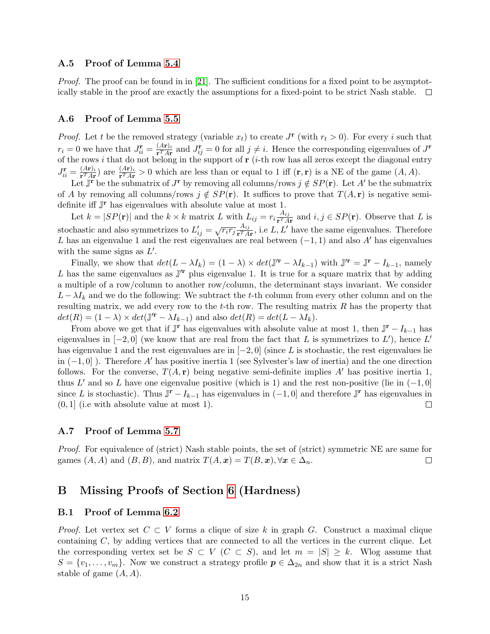## A.5 Proof of Lemma [5.4](#page-8-3)

Proof. The proof can be found in in [\[21\]](#page-12-2). The sufficient conditions for a fixed point to be asymptotically stable in the proof are exactly the assumptions for a fixed-point to be strict Nash stable.  $\Box$ 

### A.6 Proof of Lemma [5.5](#page-8-4)

*Proof.* Let t be the removed strategy (variable  $x_t$ ) to create  $J^{\mathbf{r}}$  (with  $r_t > 0$ ). For every i such that  $r_i = 0$  we have that  $J_{ii}^{\mathbf{r}} = \frac{(A\mathbf{r})_i}{\mathbf{r}^T A \mathbf{r}}$  $\frac{(Ar)_i}{r^T Ar}$  and  $J_{ij}^{\mathbf{r}} = 0$  for all  $j \neq i$ . Hence the corresponding eigenvalues of  $J^{\mathbf{r}}$ of the rows i that do not belong in the support of  $r$  (i-th row has all zeros except the diagonal entry  $J_{ii}^{\mathbf{r}}=\frac{(A\mathbf{r})_{i}}{\mathbf{r}^{T}A\mathbf{r}}$  $\frac{(Ar)_i}{r^T Ar}$  are  $\frac{(Ar)_i}{r^T Ar} > 0$  which are less than or equal to 1 iff  $(\mathbf{r}, \mathbf{r})$  is a NE of the game  $(A, A)$ .

Let  $\overline{\mathbf{J}^{\mathbf{r}}}$  be the submatrix of  $J^{\mathbf{r}}$  by removing all columns/rows  $j \notin SP(\mathbf{r})$ . Let A' be the submatrix of A by removing all columns/rows  $j \notin SP(\mathbf{r})$ . It suffices to prove that  $T(A, \mathbf{r})$  is negative semidefinite iff  $J^{\mathbf{r}}$  has eigenvalues with absolute value at most 1.

Let  $k = |SP(\mathbf{r})|$  and the  $k \times k$  matrix L with  $L_{ij} = r_i \frac{A_{ij}}{\mathbf{r}^T A}$  $\frac{A_{ij}}{\mathbf{r}^T A \mathbf{r}}$  and  $i, j \in SP(\mathbf{r})$ . Observe that L is stochastic and also symmetrizes to  $L'_{ij} = \sqrt{r_i r_j} \frac{A_{ij}}{\mathbf{r}^T A}$  $\frac{A_{ij}}{\mathbf{r}^T A \mathbf{r}}$ , i.e L, L' have the same eigenvalues. Therefore L has an eigenvalue 1 and the rest eigenvalues are real between  $(-1, 1)$  and also A' has eigenvalues with the same signs as  $L'$ .

Finally, we show that  $det(L - \lambda I_k) = (1 - \lambda) \times det(\mathbb{J}^{\prime \mathbf{r}} - \lambda I_{k-1})$  with  $\mathbb{J}^{\prime \mathbf{r}} = \mathbb{J}^{\mathbf{r}} - I_{k-1}$ , namely L has the same eigenvalues as  $\mathbb{J}^r$  plus eigenvalue 1. It is true for a square matrix that by adding a multiple of a row/column to another row/column, the determinant stays invariant. We consider  $L - \lambda I_k$  and we do the following: We subtract the t-th column from every other column and on the resulting matrix, we add every row to the  $t$ -th row. The resulting matrix  $R$  has the property that  $det(R) = (1 - \lambda) \times det(\mathbb{J}^{r} - \lambda I_{k-1})$  and also  $det(R) = det(L - \lambda I_k)$ .

From above we get that if  $\mathbb{J}^{\mathbf{r}}$  has eigenvalues with absolute value at most 1, then  $\mathbb{J}^{\mathbf{r}} - I_{k-1}$  has eigenvalues in  $[-2, 0]$  (we know that are real from the fact that L is symmetrizes to L'), hence L' has eigenvalue 1 and the rest eigenvalues are in  $[-2, 0]$  (since L is stochastic, the rest eigenvalues lie in  $(-1,0]$ ). Therefore A' has positive inertia 1 (see Sylvester's law of inertia) and the one direction follows. For the converse,  $T(A, r)$  being negative semi-definite implies A' has positive inertia 1, thus L' and so L have one eigenvalue positive (which is 1) and the rest non-positive (lie in  $(-1, 0]$ since L is stochastic). Thus  $\mathbb{J}^{\mathbf{r}} - I_{k-1}$  has eigenvalues in  $(-1,0]$  and therefore  $\mathbb{J}^{\mathbf{r}}$  has eigenvalues in (0, 1] (i.e with absolute value at most 1).  $\Box$ 

## A.7 Proof of Lemma [5.7](#page-8-6)

Proof. For equivalence of (strict) Nash stable points, the set of (strict) symmetric NE are same for games  $(A, A)$  and  $(B, B)$ , and matrix  $T(A, x) = T(B, x), \forall x \in \Delta_n$ .  $\Box$ 

# B Missing Proofs of Section [6](#page-8-0) (Hardness)

## B.1 Proof of Lemma [6.2](#page-9-3)

*Proof.* Let vertex set  $C \subset V$  forms a clique of size k in graph G. Construct a maximal clique containing  $C$ , by adding vertices that are connected to all the vertices in the current clique. Let the corresponding vertex set be  $S \subset V$  ( $C \subset S$ ), and let  $m = |S| \geq k$ . Wlog assume that  $S = \{v_1, \ldots, v_m\}$ . Now we construct a strategy profile  $p \in \Delta_{2n}$  and show that it is a strict Nash stable of game  $(A, A)$ .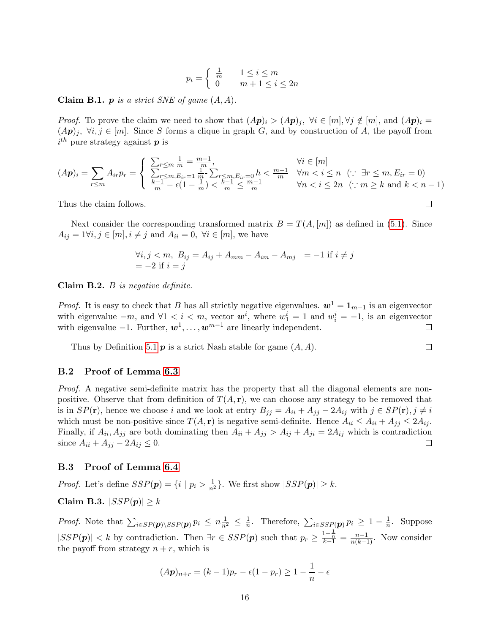$$
p_i = \begin{cases} \frac{1}{m} & 1 \le i \le m \\ 0 & m+1 \le i \le 2n \end{cases}
$$

**Claim B.1.**  $p$  is a strict SNE of game  $(A, A)$ .

*Proof.* To prove the claim we need to show that  $(A\mathbf{p})_i > (A\mathbf{p})_i$ ,  $\forall i \in [m], \forall j \notin [m]$ , and  $(A\mathbf{p})_i =$  $(A\mathbf{p})_j, \forall i, j \in [m]$ . Since S forms a clique in graph G, and by construction of A, the payoff from  $i^{th}$  pure strategy against  $p$  is

$$
(A\mathbf{p})_i = \sum_{r \le m} A_{ir} p_r = \begin{cases} \sum_{r \le m} \frac{1}{m} = \frac{m-1}{m}, & \forall i \in [m] \\ \frac{\sum_{r \le m, E_{ir} = 1} \frac{1}{m} - \sum_{r \le m, E_{ir} = 0} h & \forall m < i \le n \\ \frac{k-1}{m} - \epsilon (1 - \frac{1}{m}) < \frac{k-1}{m} \le \frac{m-1}{m} & \forall n < i \le 2n \\ \end{cases} (\because \exists r \le m, E_{ir} = 0)
$$
\n
$$
\forall n < i \le 2n \quad (\because m \ge k \text{ and } k < n-1)
$$

 $\Box$ 

 $\Box$ 

Thus the claim follows.

Next consider the corresponding transformed matrix  $B = T(A, [m])$  as defined in [\(5.1\)](#page-7-5). Since  $A_{ij} = 1 \forall i, j \in [m], i \neq j$  and  $A_{ii} = 0, \forall i \in [m]$ , we have

$$
\forall i, j < m, \ B_{ij} = A_{ij} + A_{mm} - A_{im} - A_{mj} = -1 \text{ if } i \neq j
$$
\n
$$
= -2 \text{ if } i = j
$$

Claim  $B.2. B$  is negative definite.

*Proof.* It is easy to check that B has all strictly negative eigenvalues.  $w^1 = \mathbf{1}_{m-1}$  is an eigenvector with eigenvalue  $-m$ , and  $\forall 1 \leq i \leq m$ , vector  $\mathbf{w}^i$ , where  $w_1^i = 1$  and  $w_i^i = -1$ , is an eigenvector with eigenvalue  $-1$ . Further,  $w^1, \ldots, w^{m-1}$  are linearly independent.

Thus by Definition [5.1](#page-8-5)  $\boldsymbol{p}$  is a strict Nash stable for game  $(A, A)$ .

#### B.2 Proof of Lemma [6.3](#page-9-1)

Proof. A negative semi-definite matrix has the property that all the diagonal elements are nonpositive. Observe that from definition of  $T(A, r)$ , we can choose any strategy to be removed that is in  $SP(\mathbf{r})$ , hence we choose i and we look at entry  $B_{jj} = A_{ii} + A_{jj} - 2A_{ij}$  with  $j \in SP(\mathbf{r})$ ,  $j \neq i$ which must be non-positive since  $T(A, r)$  is negative semi-definite. Hence  $A_{ii} \leq A_{ii} + A_{jj} \leq 2A_{ij}$ . Finally, if  $A_{ii}$ ,  $A_{jj}$  are both dominating then  $A_{ii} + A_{jj} > A_{ij} + A_{ji} = 2A_{ij}$  which is contradiction since  $A_{ii} + A_{jj} - 2A_{ij} \leq 0$ .  $\Box$ 

## B.3 Proof of Lemma [6.4](#page-9-2)

*Proof.* Let's define  $SSP(\mathbf{p}) = \{i \mid p_i > \frac{1}{n^2}\}\.$  We first show  $|SSP(\mathbf{p})| \geq k$ . Claim B.3.  $|SSP(p)| \geq k$ 

*Proof.* Note that  $\sum_{i \in SP(\boldsymbol{p}) \setminus SSP(\boldsymbol{p})} p_i \leq n \frac{1}{n^2} \leq \frac{1}{n}$  $\frac{1}{n}$ . Therefore,  $\sum_{i \in SSP(\boldsymbol{p})} p_i \geq 1 - \frac{1}{n}$  $\frac{1}{n}$ . Suppose  $|SSP(p)| < k$  by contradiction. Then  $\exists r \in SSP(p)$  such that  $p_r \geq \frac{1-\frac{1}{n}}{k-1} = \frac{n-1}{n(k-1)}$ . Now consider the payoff from strategy  $n + r$ , which is

$$
(A\mathbf{p})_{n+r} = (k-1)p_r - \epsilon(1-p_r) \ge 1 - \frac{1}{n} - \epsilon
$$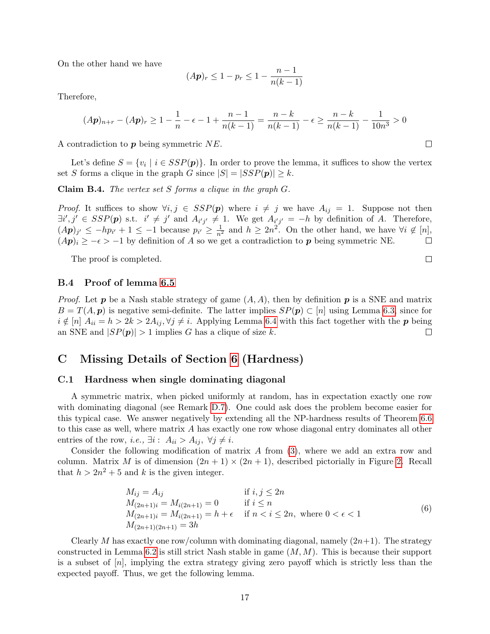On the other hand we have

$$
(A\mathbf{p})_r \le 1 - p_r \le 1 - \frac{n-1}{n(k-1)}
$$

Therefore,

$$
(A\mathbf{p})_{n+r} - (A\mathbf{p})_r \ge 1 - \frac{1}{n} - \epsilon - 1 + \frac{n-1}{n(k-1)} = \frac{n-k}{n(k-1)} - \epsilon \ge \frac{n-k}{n(k-1)} - \frac{1}{10n^3} > 0
$$

A contradiction to  $p$  being symmetric  $NE$ .

Let's define  $S = \{v_i \mid i \in SSP(p)\}\$ . In order to prove the lemma, it suffices to show the vertex set S forms a clique in the graph G since  $|S| = |SSP(p)| \geq k$ .

**Claim B.4.** The vertex set S forms a clique in the graph  $G$ .

*Proof.* It suffices to show  $\forall i, j \in SSP(p)$  where  $i \neq j$  we have  $A_{ij} = 1$ . Suppose not then  $\exists i', j' \in SSP(p) \text{ s.t. } i' \neq j' \text{ and } A_{i'j'} \neq 1. \text{ We get } A_{i'j'} = -h \text{ by definition of } A. \text{ Therefore, }$  $(A\mathbf{p})_{j'} \leq -hp_{i'}+1 \leq -1$  because  $p_{i'} \geq \frac{1}{n^2}$  and  $h \geq 2n^2$ . On the other hand, we have  $\forall i \notin [n]$ ,  $(A\mathbf{p})_i \geq -\epsilon > -1$  by definition of A so we get a contradiction to  $\mathbf{p}$  being symmetric NE.

The proof is completed.

B.4 Proof of lemma [6.5](#page-9-4)

*Proof.* Let **p** be a Nash stable strategy of game  $(A, A)$ , then by definition **p** is a SNE and matrix  $B = T(A, p)$  is negative semi-definite. The latter implies  $SP(p) \subset [n]$  using Lemma [6.3,](#page-9-1) since for  $i \notin [n]$   $A_{ii} = h > 2k > 2A_{ij}, \forall j \neq i$ . Applying Lemma [6.4](#page-9-2) with this fact together with the **p** being an SNE and  $|SP(n)| > 1$  implies G has a clique of size k. an SNE and  $|SP(p)| > 1$  implies G has a clique of size k.

# C Missing Details of Section [6](#page-8-0) (Hardness)

#### <span id="page-17-0"></span>C.1 Hardness when single dominating diagonal

A symmetric matrix, when picked uniformly at random, has in expectation exactly one row with dominating diagonal (see Remark [D.7\)](#page-22-1). One could ask does the problem become easier for this typical case. We answer negatively by extending all the NP-hardness results of Theorem [6.6](#page-10-0) to this case as well, where matrix A has exactly one row whose diagonal entry dominates all other entries of the row, *i.e.*,  $\exists i : A_{ii} > A_{ij}, \ \forall j \neq i$ .

Consider the following modification of matrix  $A$  from  $(3)$ , where we add an extra row and column. Matrix M is of dimension  $(2n + 1) \times (2n + 1)$ , described pictorially in Figure [2.](#page-18-0) Recall that  $h > 2n^2 + 5$  and k is the given integer.

<span id="page-17-1"></span>
$$
M_{ij} = A_{ij}
$$
 if  $i, j \le 2n$   
\n
$$
M_{(2n+1)i} = M_{i(2n+1)} = 0
$$
 if  $i \le n$   
\n
$$
M_{(2n+1)i} = M_{i(2n+1)} = h + \epsilon
$$
 if  $n < i \le 2n$ , where  $0 < \epsilon < 1$   
\n
$$
M_{(2n+1)(2n+1)} = 3h
$$
 (6)

Clearly M has exactly one row/column with dominating diagonal, namely  $(2n+1)$ . The strategy constructed in Lemma [6.2](#page-9-3) is still strict Nash stable in game  $(M, M)$ . This is because their support is a subset of  $[n]$ , implying the extra strategy giving zero payoff which is strictly less than the expected payoff. Thus, we get the following lemma.

 $\Box$ 

 $\Box$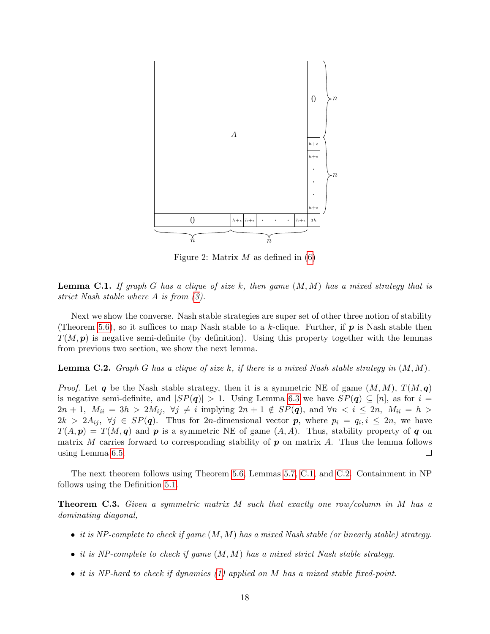<span id="page-18-0"></span>

Figure 2: Matrix  $M$  as defined in  $(6)$ 

<span id="page-18-1"></span>**Lemma C.1.** If graph G has a clique of size k, then game  $(M, M)$  has a mixed strategy that is strict Nash stable where A is from [\(3\)](#page-9-0).

Next we show the converse. Nash stable strategies are super set of other three notion of stability (Theorem [5.6\)](#page-8-1), so it suffices to map Nash stable to a k-clique. Further, if  $p$  is Nash stable then  $T(M, p)$  is negative semi-definite (by definition). Using this property together with the lemmas from previous two section, we show the next lemma.

<span id="page-18-2"></span>**Lemma C.2.** Graph G has a clique of size k, if there is a mixed Nash stable strategy in  $(M, M)$ .

*Proof.* Let q be the Nash stable strategy, then it is a symmetric NE of game  $(M, M)$ ,  $T(M, q)$ is negative semi-definite, and  $|SP(q)| > 1$ . Using Lemma [6.3](#page-9-1) we have  $SP(q) \subseteq [n]$ , as for  $i =$  $2n + 1$ ,  $M_{ii} = 3h > 2M_{ij}$ ,  $\forall j \neq i$  implying  $2n + 1 \notin SP(q)$ , and  $\forall n \leq i \leq 2n$ ,  $M_{ii} = h >$  $2k > 2A_{ij}, \forall j \in SP(q)$ . Thus for 2n-dimensional vector p, where  $p_i = q_i, i \leq 2n$ , we have  $T(A, p) = T(M, q)$  and p is a symmetric NE of game  $(A, A)$ . Thus, stability property of q on matrix M carries forward to corresponding stability of  $p$  on matrix A. Thus the lemma follows using Lemma [6.5.](#page-9-4)  $\Box$ 

The next theorem follows using Theorem [5.6,](#page-8-1) Lemmas [5.7,](#page-8-6) [C.1,](#page-18-1) and [C.2.](#page-18-2) Containment in NP follows using the Definition [5.1.](#page-8-5)

**Theorem C.3.** Given a symmetric matrix M such that exactly one row/column in M has a dominating diagonal,

- it is NP-complete to check if game  $(M, M)$  has a mixed Nash stable (or linearly stable) strategy.
- it is NP-complete to check if game  $(M, M)$  has a mixed strict Nash stable strategy.
- it is NP-hard to check if dynamics [\(1\)](#page-5-1) applied on M has a mixed stable fixed-point.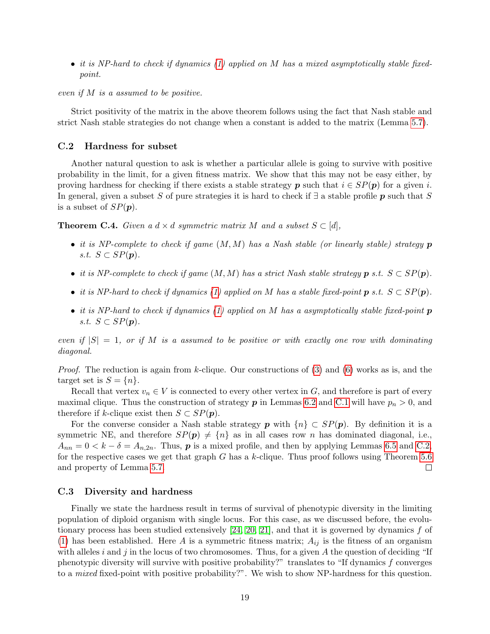• it is NP-hard to check if dynamics [\(1\)](#page-5-1) applied on M has a mixed asymptotically stable fixedpoint.

even if M is a assumed to be positive.

Strict positivity of the matrix in the above theorem follows using the fact that Nash stable and strict Nash stable strategies do not change when a constant is added to the matrix (Lemma [5.7\)](#page-8-6).

#### <span id="page-19-0"></span>C.2 Hardness for subset

Another natural question to ask is whether a particular allele is going to survive with positive probability in the limit, for a given fitness matrix. We show that this may not be easy either, by proving hardness for checking if there exists a stable strategy p such that  $i \in SP(p)$  for a given i. In general, given a subset S of pure strategies it is hard to check if  $\exists$  a stable profile p such that S is a subset of  $SP(\boldsymbol{p})$ .

**Theorem C.4.** Given a  $d \times d$  symmetric matrix M and a subset  $S \subset [d]$ ,

- it is NP-complete to check if game  $(M, M)$  has a Nash stable (or linearly stable) strategy  $p$ s.t.  $S \subset SP(p)$ .
- it is NP-complete to check if game  $(M, M)$  has a strict Nash stable strategy  $p$  s.t.  $S \subset SP(p)$ .
- it is NP-hard to check if dynamics [\(1\)](#page-5-1) applied on M has a stable fixed-point  $p$  s.t.  $S \subset SP(p)$ .
- it is NP-hard to check if dynamics [\(1\)](#page-5-1) applied on M has a asymptotically stable fixed-point  $p$ s.t.  $S \subset SP(p)$ .

even if  $|S| = 1$ , or if M is a assumed to be positive or with exactly one row with dominating diagonal.

*Proof.* The reduction is again from k-clique. Our constructions of  $(3)$  and  $(6)$  works as is, and the target set is  $S = \{n\}.$ 

Recall that vertex  $v_n \in V$  is connected to every other vertex in G, and therefore is part of every maximal clique. Thus the construction of strategy  $p$  in Lemmas [6.2](#page-9-3) and [C.1](#page-18-1) will have  $p_n > 0$ , and therefore if k-clique exist then  $S \subset SP(p)$ .

For the converse consider a Nash stable strategy p with  $\{n\} \subset SP(p)$ . By definition it is a symmetric NE, and therefore  $SP(p) \neq \{n\}$  as in all cases row n has dominated diagonal, i.e.,  $A_{nn} = 0 < k - \delta = A_{n,2n}$ . Thus, **p** is a mixed profile, and then by applying Lemmas [6.5](#page-9-4) and [C.2,](#page-18-2) for the respective cases we get that graph  $G$  has a k-clique. Thus proof follows using Theorem [5.6](#page-8-1) and property of Lemma [5.7.](#page-8-6)  $\Box$ 

#### <span id="page-19-1"></span>C.3 Diversity and hardness

Finally we state the hardness result in terms of survival of phenotypic diversity in the limiting population of diploid organism with single locus. For this case, as we discussed before, the evolutionary process has been studied extensively  $[24, 20, 21]$  $[24, 20, 21]$  $[24, 20, 21]$ , and that it is governed by dynamics f of [\(1\)](#page-5-1) has been established. Here A is a symmetric fitness matrix;  $A_{ij}$  is the fitness of an organism with alleles i and j in the locus of two chromosomes. Thus, for a given A the question of deciding "If phenotypic diversity will survive with positive probability?" translates to "If dynamics f converges to a mixed fixed-point with positive probability?". We wish to show NP-hardness for this question.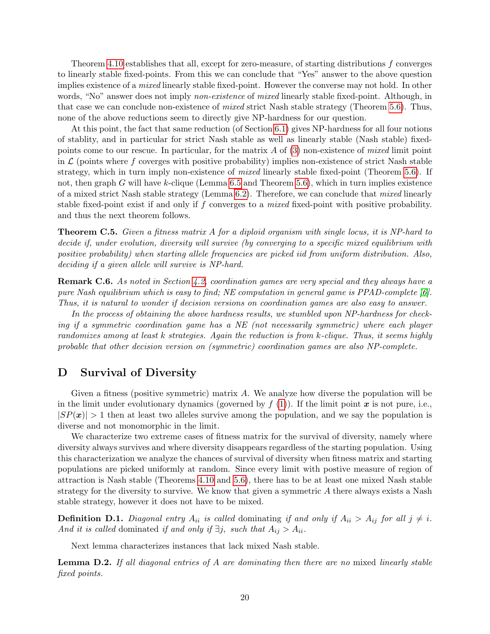Theorem [4.10](#page-7-0) establishes that all, except for zero-measure, of starting distributions f converges to linearly stable fixed-points. From this we can conclude that "Yes" answer to the above question implies existence of a *mixed* linearly stable fixed-point. However the converse may not hold. In other words, "No" answer does not imply *non-existence* of *mixed* linearly stable fixed-point. Although, in that case we can conclude non-existence of mixed strict Nash stable strategy (Theorem [5.6\)](#page-8-1). Thus, none of the above reductions seem to directly give NP-hardness for our question.

At this point, the fact that same reduction (of Section [6.1\)](#page-9-6) gives NP-hardness for all four notions of stablity, and in particular for strict Nash stable as well as linearly stable (Nash stable) fixedpoints come to our rescue. In particular, for the matrix A of [\(3\)](#page-9-0) non-existence of mixed limit point in  $\mathcal L$  (points where f coverges with positive probability) implies non-existence of strict Nash stable strategy, which in turn imply non-existence of *mixed* linearly stable fixed-point (Theorem [5.6\)](#page-8-1). If not, then graph G will have k-clique (Lemma [6.5](#page-9-4) and Theorem [5.6\)](#page-8-1), which in turn implies existence of a mixed strict Nash stable strategy (Lemma  $6.2$ ). Therefore, we can conclude that *mixed* linearly stable fixed-point exist if and only if f converges to a mixed fixed-point with positive probability. and thus the next theorem follows.

Theorem C.5. Given a fitness matrix A for a diploid organism with single locus, it is NP-hard to decide if, under evolution, diversity will survive (by converging to a specific mixed equilibrium with positive probability) when starting allele frequencies are picked iid from uniform distribution. Also, deciding if a given allele will survive is NP-hard.

<span id="page-20-1"></span>Remark C.6. As noted in Section [4.2,](#page-6-4) coordination games are very special and they always have a pure Nash equilibrium which is easy to find; NE computation in general game is PPAD-complete [\[6\]](#page-11-16). Thus, it is natural to wonder if decision versions on coordination games are also easy to answer.

In the process of obtaining the above hardness results, we stumbled upon NP-hardness for checking if a symmetric coordination game has a NE (not necessarily symmetric) where each player randomizes among at least k strategies. Again the reduction is from k-clique. Thus, it seems highly probable that other decision version on (symmetric) coordination games are also NP-complete.

# <span id="page-20-0"></span>D Survival of Diversity

Given a fitness (positive symmetric) matrix A. We analyze how diverse the population will be in the limit under evolutionary dynamics (governed by  $f(1)$  $f(1)$ ). If the limit point  $\boldsymbol{x}$  is not pure, i.e.,  $|SP(x)| > 1$  then at least two alleles survive among the population, and we say the population is diverse and not monomorphic in the limit.

We characterize two extreme cases of fitness matrix for the survival of diversity, namely where diversity always survives and where diversity disappears regardless of the starting population. Using this characterization we analyze the chances of survival of diversity when fitness matrix and starting populations are picked uniformly at random. Since every limit with postive measure of region of attraction is Nash stable (Theorems [4.10](#page-7-0) and [5.6\)](#page-8-1), there has to be at least one mixed Nash stable strategy for the diversity to survive. We know that given a symmetric A there always exists a Nash stable strategy, however it does not have to be mixed.

**Definition D.1.** Diagonal entry  $A_{ii}$  is called dominating if and only if  $A_{ii} > A_{ij}$  for all  $j \neq i$ . And it is called dominated if and only if  $\exists j$ , such that  $A_{ij} > A_{ii}$ .

Next lemma characterizes instances that lack mixed Nash stable.

<span id="page-20-2"></span>**Lemma D.2.** If all diagonal entries of A are dominating then there are no mixed linearly stable fixed points.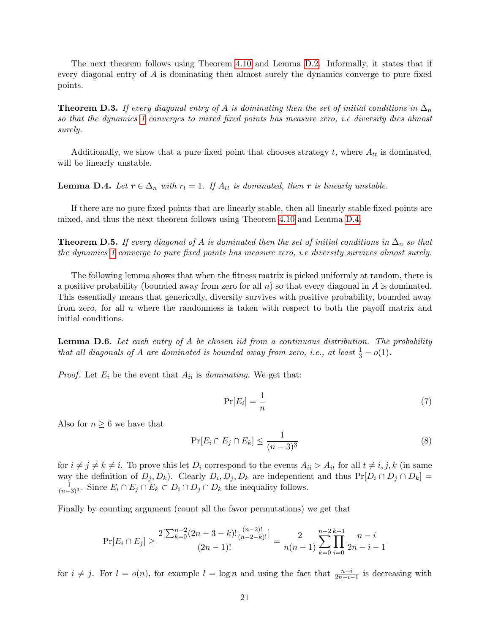The next theorem follows using Theorem [4.10](#page-7-0) and Lemma [D.2.](#page-20-2) Informally, it states that if every diagonal entry of A is dominating then almost surely the dynamics converge to pure fixed points.

<span id="page-21-2"></span>**Theorem D.3.** If every diagonal entry of A is dominating then the set of initial conditions in  $\Delta_n$ so that the dynamics [1](#page-5-1) converges to mixed fixed points has measure zero, i.e diversity dies almost surely.

Additionally, we show that a pure fixed point that chooses strategy t, where  $A_{tt}$  is dominated, will be linearly unstable.

<span id="page-21-1"></span>**Lemma D.4.** Let  $r \in \Delta_n$  with  $r_t = 1$ . If  $A_{tt}$  is dominated, then r is linearly unstable.

If there are no pure fixed points that are linearly stable, then all linearly stable fixed-points are mixed, and thus the next theorem follows using Theorem [4.10](#page-7-0) and Lemma [D.4.](#page-21-1)

**Theorem D.5.** If every diagonal of A is dominated then the set of initial conditions in  $\Delta_n$  so that the dynamics [1](#page-5-1) converge to pure fixed points has measure zero, i.e diversity survives almost surely.

The following lemma shows that when the fitness matrix is picked uniformly at random, there is a positive probability (bounded away from zero for all  $n$ ) so that every diagonal in A is dominated. This essentially means that generically, diversity survives with positive probability, bounded away from zero, for all  $n$  where the randomness is taken with respect to both the payoff matrix and initial conditions.

<span id="page-21-0"></span>**Lemma D.6.** Let each entry of A be chosen iid from a continuous distribution. The probability that all diagonals of A are dominated is bounded away from zero, i.e., at least  $\frac{1}{3} - o(1)$ .

*Proof.* Let  $E_i$  be the event that  $A_{ii}$  is *dominating*. We get that:

$$
\Pr[E_i] = \frac{1}{n} \tag{7}
$$

Also for  $n \geq 6$  we have that

$$
\Pr[E_i \cap E_j \cap E_k] \le \frac{1}{(n-3)^3} \tag{8}
$$

for  $i \neq j \neq k \neq i$ . To prove this let  $D_i$  correspond to the events  $A_{ii} > A_{it}$  for all  $t \neq i, j, k$  (in same way the definition of  $D_j, D_k$ ). Clearly  $D_i, D_j, D_k$  are independent and thus  $Pr[D_i \cap D_j \cap D_k] =$  $\frac{1}{(n-3)^3}$ . Since  $E_i \cap E_j \cap E_k \subset D_i \cap D_j \cap D_k$  the inequality follows.

Finally by counting argument (count all the favor permutations) we get that

$$
\Pr[E_i \cap E_j] \ge \frac{2[\sum_{k=0}^{n-2} (2n-3-k)! \frac{(n-2)!}{(n-2-k)!}]}{(2n-1)!} = \frac{2}{n(n-1)} \sum_{k=0}^{n-2} \prod_{i=0}^{k+1} \frac{n-i}{2n-i-1}
$$

for  $i \neq j$ . For  $l = o(n)$ , for example  $l = \log n$  and using the fact that  $\frac{n-i}{2n-i-1}$  is decreasing with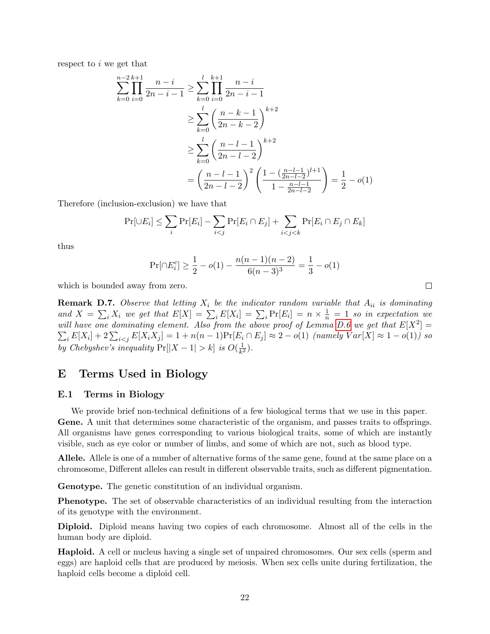respect to i we get that

$$
\sum_{k=0}^{n-2} \prod_{i=0}^{k+1} \frac{n-i}{2n-i-1} \ge \sum_{k=0}^{l} \prod_{i=0}^{k+1} \frac{n-i}{2n-i-1}
$$
  
\n
$$
\ge \sum_{k=0}^{l} \left(\frac{n-k-1}{2n-k-2}\right)^{k+2}
$$
  
\n
$$
\ge \sum_{k=0}^{l} \left(\frac{n-l-1}{2n-l-2}\right)^{k+2}
$$
  
\n
$$
= \left(\frac{n-l-1}{2n-l-2}\right)^2 \left(\frac{1-(\frac{n-l-1}{2n-l-2})^{l+1}}{1-\frac{n-l-1}{2n-l-2}}\right) = \frac{1}{2} - o(1)
$$

Therefore (inclusion-exclusion) we have that

$$
\Pr[\cup E_i] \le \sum_i \Pr[E_i] - \sum_{i < j} \Pr[E_i \cap E_j] + \sum_{i < j < k} \Pr[E_i \cap E_j \cap E_k]
$$

thus

$$
\Pr[\cap E_i^c] \ge \frac{1}{2} - o(1) - \frac{n(n-1)(n-2)}{6(n-3)^3} = \frac{1}{3} - o(1)
$$

which is bounded away from zero.

<span id="page-22-1"></span>**Remark D.7.** Observe that letting  $X_i$  be the indicator random variable that  $A_{ii}$  is dominating and  $X = \sum_i X_i$  we get that  $E[X] = \sum_i E[X_i] = \sum_i \Pr[E_i] = n \times \frac{1}{n} = 1$  so in expectation we will have one dominating element. Also from the above proof of Lemma [D.6](#page-21-0) we get that  $E[X^2] =$  $\sum_{i} E[X_i] + 2 \sum_{i < j} E[X_i X_j] = 1 + n(n-1) \Pr[E_i \cap E_j] \approx 2 - o(1)$  (namely  $Var[X] \approx 1 - o(1)$ ) so by Chebyshev's inequality  $Pr[|X - 1| > k]$  is  $O(\frac{1}{k^2})$  $\frac{1}{k^2}$ .

# E Terms Used in Biology

### <span id="page-22-0"></span>E.1 Terms in Biology

We provide brief non-technical definitions of a few biological terms that we use in this paper. Gene. A unit that determines some characteristic of the organism, and passes traits to offsprings. All organisms have genes corresponding to various biological traits, some of which are instantly visible, such as eye color or number of limbs, and some of which are not, such as blood type.

Allele. Allele is one of a number of alternative forms of the same gene, found at the same place on a chromosome, Different alleles can result in different observable traits, such as different pigmentation.

Genotype. The genetic constitution of an individual organism.

Phenotype. The set of observable characteristics of an individual resulting from the interaction of its genotype with the environment.

Diploid. Diploid means having two copies of each chromosome. Almost all of the cells in the human body are diploid.

Haploid. A cell or nucleus having a single set of unpaired chromosomes. Our sex cells (sperm and eggs) are haploid cells that are produced by meiosis. When sex cells unite during fertilization, the haploid cells become a diploid cell.

 $\Box$